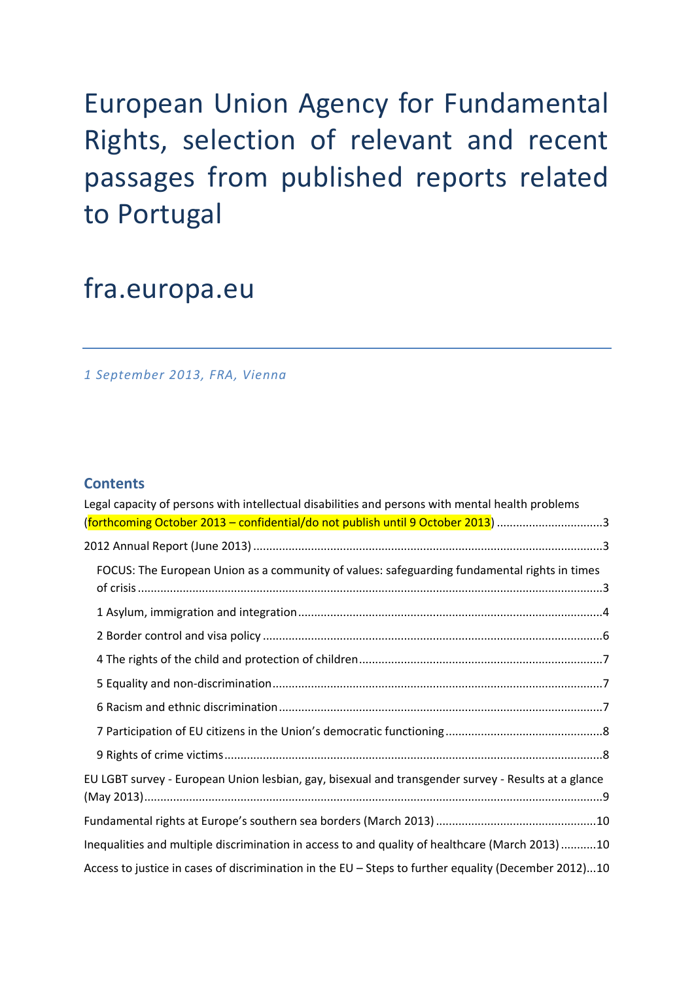# European Union Agency for Fundamental Rights, selection of relevant and recent passages from published reports related to Portugal

# fra.europa.eu

*1 September 2013, FRA, Vienna*

### **Contents**

| Legal capacity of persons with intellectual disabilities and persons with mental health problems     |
|------------------------------------------------------------------------------------------------------|
| (forthcoming October 2013 - confidential/do not publish until 9 October 2013) 3                      |
|                                                                                                      |
| FOCUS: The European Union as a community of values: safeguarding fundamental rights in times         |
|                                                                                                      |
|                                                                                                      |
|                                                                                                      |
|                                                                                                      |
|                                                                                                      |
|                                                                                                      |
|                                                                                                      |
|                                                                                                      |
| EU LGBT survey - European Union lesbian, gay, bisexual and transgender survey - Results at a glance  |
|                                                                                                      |
|                                                                                                      |
| Inequalities and multiple discrimination in access to and quality of healthcare (March 2013)10       |
| Access to justice in cases of discrimination in the EU - Steps to further equality (December 2012)10 |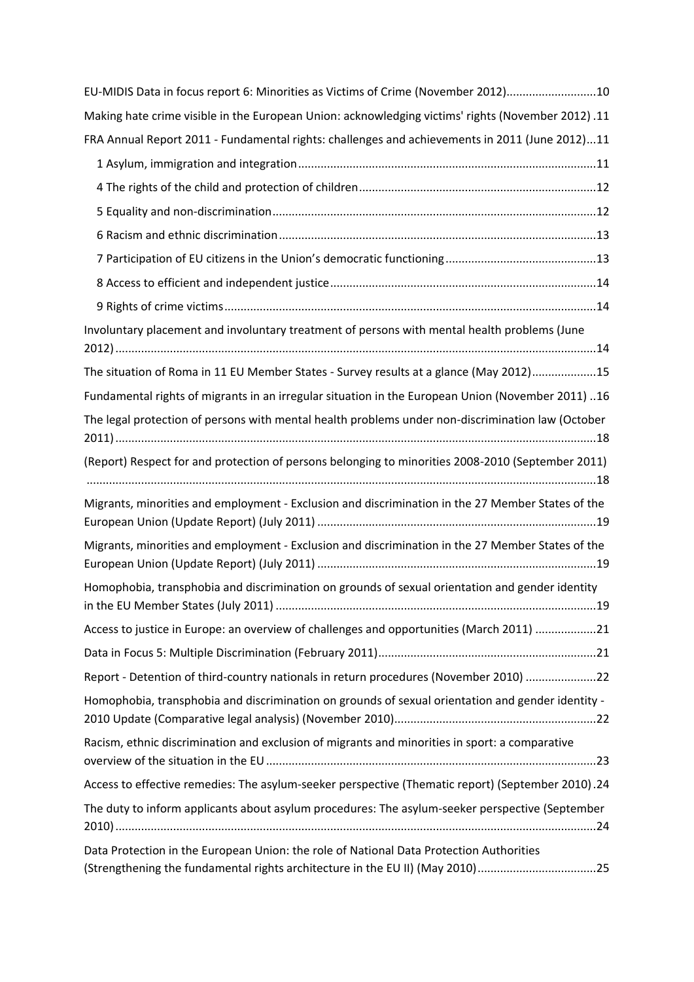| EU-MIDIS Data in focus report 6: Minorities as Victims of Crime (November 2012)10                                                                                        |
|--------------------------------------------------------------------------------------------------------------------------------------------------------------------------|
| Making hate crime visible in the European Union: acknowledging victims' rights (November 2012).11                                                                        |
| FRA Annual Report 2011 - Fundamental rights: challenges and achievements in 2011 (June 2012)11                                                                           |
|                                                                                                                                                                          |
|                                                                                                                                                                          |
|                                                                                                                                                                          |
|                                                                                                                                                                          |
|                                                                                                                                                                          |
|                                                                                                                                                                          |
|                                                                                                                                                                          |
| Involuntary placement and involuntary treatment of persons with mental health problems (June                                                                             |
| The situation of Roma in 11 EU Member States - Survey results at a glance (May 2012)15                                                                                   |
| 16 [Aundamental rights of migrants in an irregular situation in the European Union (November 2011).                                                                      |
| The legal protection of persons with mental health problems under non-discrimination law (October                                                                        |
| (Report) Respect for and protection of persons belonging to minorities 2008-2010 (September 2011)                                                                        |
| Migrants, minorities and employment - Exclusion and discrimination in the 27 Member States of the                                                                        |
| Migrants, minorities and employment - Exclusion and discrimination in the 27 Member States of the                                                                        |
| Homophobia, transphobia and discrimination on grounds of sexual orientation and gender identity                                                                          |
| Access to justice in Europe: an overview of challenges and opportunities (March 2011) 21                                                                                 |
|                                                                                                                                                                          |
| Report - Detention of third-country nationals in return procedures (November 2010) 22                                                                                    |
| Homophobia, transphobia and discrimination on grounds of sexual orientation and gender identity -                                                                        |
| Racism, ethnic discrimination and exclusion of migrants and minorities in sport: a comparative                                                                           |
| Access to effective remedies: The asylum-seeker perspective (Thematic report) (September 2010).24                                                                        |
| The duty to inform applicants about asylum procedures: The asylum-seeker perspective (September                                                                          |
| Data Protection in the European Union: the role of National Data Protection Authorities<br>(Strengthening the fundamental rights architecture in the EU II) (May 2010)25 |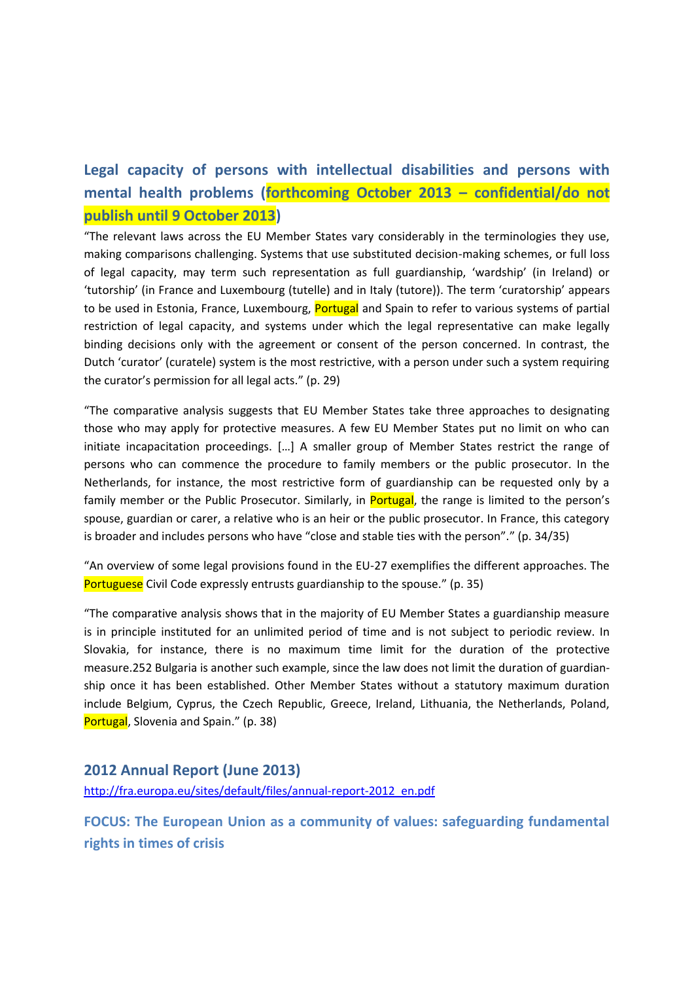# **Legal capacity of persons with intellectual disabilities and persons with mental health problems (forthcoming October 2013 – confidential/do not publish until 9 October 2013)**

"The relevant laws across the EU Member States vary considerably in the terminologies they use, making comparisons challenging. Systems that use substituted decision-making schemes, or full loss of legal capacity, may term such representation as full guardianship, 'wardship' (in Ireland) or 'tutorship' (in France and Luxembourg (tutelle) and in Italy (tutore)). The term 'curatorship' appears to be used in Estonia, France, Luxembourg, Portugal and Spain to refer to various systems of partial restriction of legal capacity, and systems under which the legal representative can make legally binding decisions only with the agreement or consent of the person concerned. In contrast, the Dutch 'curator' (curatele) system is the most restrictive, with a person under such a system requiring the curator's permission for all legal acts." (p. 29)

"The comparative analysis suggests that EU Member States take three approaches to designating those who may apply for protective measures. A few EU Member States put no limit on who can initiate incapacitation proceedings. […] A smaller group of Member States restrict the range of persons who can commence the procedure to family members or the public prosecutor. In the Netherlands, for instance, the most restrictive form of guardianship can be requested only by a family member or the Public Prosecutor. Similarly, in **Portugal**, the range is limited to the person's spouse, guardian or carer, a relative who is an heir or the public prosecutor. In France, this category is broader and includes persons who have "close and stable ties with the person"." (p. 34/35)

"An overview of some legal provisions found in the EU-27 exemplifies the different approaches. The Portuguese Civil Code expressly entrusts guardianship to the spouse." (p. 35)

"The comparative analysis shows that in the majority of EU Member States a guardianship measure is in principle instituted for an unlimited period of time and is not subject to periodic review. In Slovakia, for instance, there is no maximum time limit for the duration of the protective measure.252 Bulgaria is another such example, since the law does not limit the duration of guardianship once it has been established. Other Member States without a statutory maximum duration include Belgium, Cyprus, the Czech Republic, Greece, Ireland, Lithuania, the Netherlands, Poland, Portugal, Slovenia and Spain." (p. 38)

# **2012 Annual Report (June 2013)**

[http://fra.europa.eu/sites/default/files/annual-report-2012\\_en.pdf](http://fra.europa.eu/sites/default/files/annual-report-2012_en.pdf)

**FOCUS: The European Union as a community of values: safeguarding fundamental rights in times of crisis**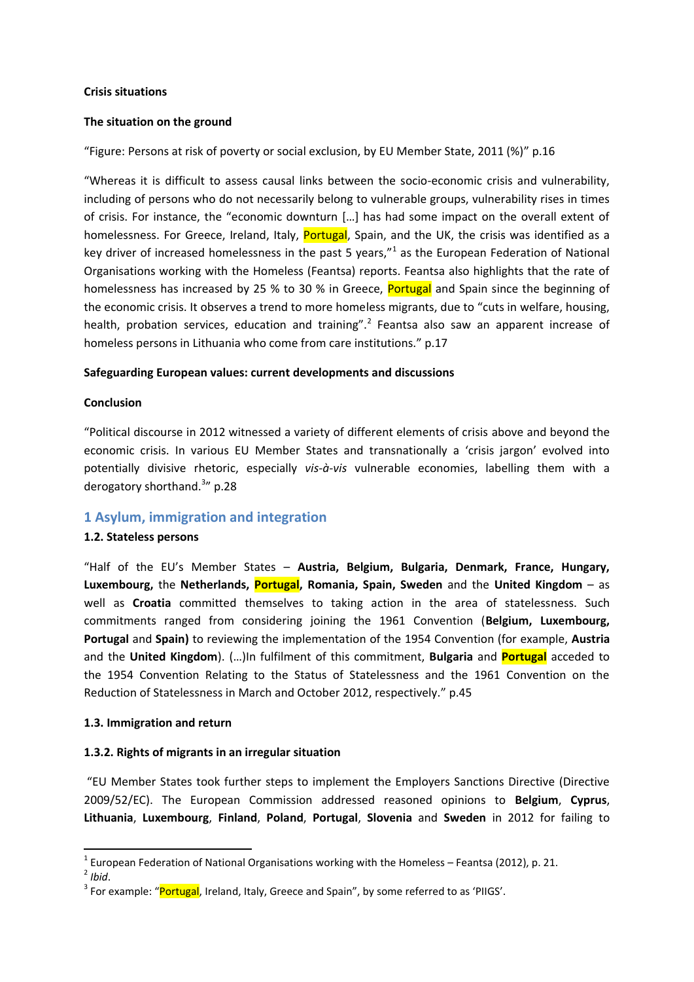#### **Crisis situations**

#### **The situation on the ground**

"Figure: Persons at risk of poverty or social exclusion, by EU Member State, 2011 (%)" p.16

"Whereas it is difficult to assess causal links between the socio-economic crisis and vulnerability, including of persons who do not necessarily belong to vulnerable groups, vulnerability rises in times of crisis. For instance, the "economic downturn […] has had some impact on the overall extent of homelessness. For Greece, Ireland, Italy, Portugal, Spain, and the UK, the crisis was identified as a key driver of increased homelessness in the past 5 years,"<sup>1</sup> as the European Federation of National Organisations working with the Homeless (Feantsa) reports. Feantsa also highlights that the rate of homelessness has increased by 25 % to 30 % in Greece, **Portugal** and Spain since the beginning of the economic crisis. It observes a trend to more homeless migrants, due to "cuts in welfare, housing, health, probation services, education and training".<sup>2</sup> Feantsa also saw an apparent increase of homeless persons in Lithuania who come from care institutions." p.17

#### **Safeguarding European values: current developments and discussions**

#### **Conclusion**

"Political discourse in 2012 witnessed a variety of different elements of crisis above and beyond the economic crisis. In various EU Member States and transnationally a 'crisis jargon' evolved into potentially divisive rhetoric, especially *vis-à-vis* vulnerable economies, labelling them with a derogatory shorthand.<sup>3</sup>" p.28

#### **1 Asylum, immigration and integration**

#### **1.2. Stateless persons**

"Half of the EU's Member States – **Austria, Belgium, Bulgaria, Denmark, France, Hungary, Luxembourg,** the **Netherlands, Portugal, Romania, Spain, Sweden** and the **United Kingdom** – as well as **Croatia** committed themselves to taking action in the area of statelessness. Such commitments ranged from considering joining the 1961 Convention (**Belgium, Luxembourg, Portugal** and **Spain)** to reviewing the implementation of the 1954 Convention (for example, **Austria**  and the **United Kingdom**). (…)In fulfilment of this commitment, **Bulgaria** and **Portugal** acceded to the 1954 Convention Relating to the Status of Statelessness and the 1961 Convention on the Reduction of Statelessness in March and October 2012, respectively." p.45

#### **1.3. Immigration and return**

#### **1.3.2. Rights of migrants in an irregular situation**

"EU Member States took further steps to implement the Employers Sanctions Directive (Directive 2009/52/EC). The European Commission addressed reasoned opinions to **Belgium**, **Cyprus**, **Lithuania**, **Luxembourg**, **Finland**, **Poland**, **Portugal**, **Slovenia** and **Sweden** in 2012 for failing to

 $1$  European Federation of National Organisations working with the Homeless – Feantsa (2012), p. 21.

<sup>2</sup> *Ibid*.

<sup>&</sup>lt;sup>3</sup> For example: "Portugal, Ireland, Italy, Greece and Spain", by some referred to as 'PIIGS'.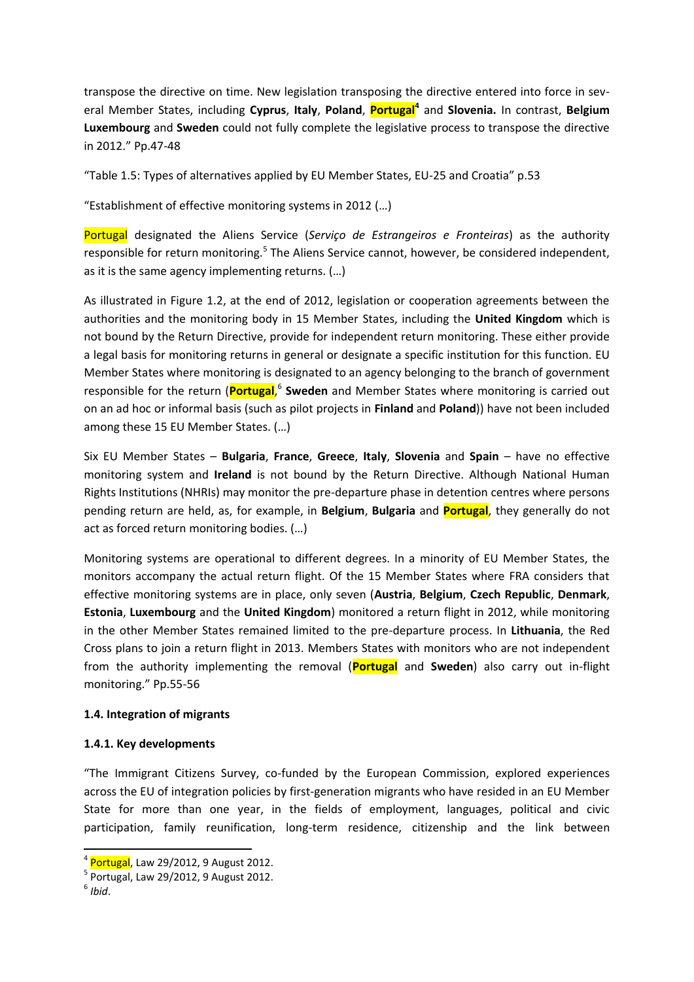transpose the directive on time. New legislation transposing the directive entered into force in several Member States, including **Cyprus**, **Italy**, **Poland**, **Portugal<sup>4</sup>** and **Slovenia.** In contrast, **Belgium Luxembourg** and **Sweden** could not fully complete the legislative process to transpose the directive in 2012." Pp.47-48

"Table 1.5: Types of alternatives applied by EU Member States, EU-25 and Croatia" p.53

"Establishment of effective monitoring systems in 2012 (…)

Portugal designated the Aliens Service (*Serviço de Estrangeiros e Fronteiras*) as the authority responsible for return monitoring.<sup>5</sup> The Aliens Service cannot, however, be considered independent, as it is the same agency implementing returns. (…)

As illustrated in Figure 1.2, at the end of 2012, legislation or cooperation agreements between the authorities and the monitoring body in 15 Member States, including the **United Kingdom** which is not bound by the Return Directive, provide for independent return monitoring. These either provide a legal basis for monitoring returns in general or designate a specific institution for this function. EU Member States where monitoring is designated to an agency belonging to the branch of government responsible for the return (Portugal,<sup>6</sup> Sweden and Member States where monitoring is carried out on an ad hoc or informal basis (such as pilot projects in **Finland** and **Poland**)) have not been included among these 15 EU Member States. (…)

Six EU Member States – **Bulgaria**, **France**, **Greece**, **Italy**, **Slovenia** and **Spain** – have no effective monitoring system and **Ireland** is not bound by the Return Directive. Although National Human Rights Institutions (NHRIs) may monitor the pre-departure phase in detention centres where persons pending return are held, as, for example, in **Belgium**, **Bulgaria** and **Portugal**, they generally do not act as forced return monitoring bodies. (…)

Monitoring systems are operational to different degrees. In a minority of EU Member States, the monitors accompany the actual return flight. Of the 15 Member States where FRA considers that effective monitoring systems are in place, only seven (**Austria**, **Belgium**, **Czech Republic**, **Denmark**, **Estonia**, **Luxembourg** and the **United Kingdom**) monitored a return flight in 2012, while monitoring in the other Member States remained limited to the pre-departure process. In **Lithuania**, the Red Cross plans to join a return flight in 2013. Members States with monitors who are not independent from the authority implementing the removal (**Portugal** and **Sweden**) also carry out in-flight monitoring." Pp.55-56

#### **1.4. Integration of migrants**

#### **1.4.1. Key developments**

"The Immigrant Citizens Survey, co-funded by the European Commission, explored experiences across the EU of integration policies by first-generation migrants who have resided in an EU Member State for more than one year, in the fields of employment, languages, political and civic participation, family reunification, long-term residence, citizenship and the link between

<sup>&</sup>lt;sup>4</sup> Portugal, Law 29/2012, 9 August 2012.

<sup>5</sup> Portugal, Law 29/2012, 9 August 2012.

<sup>6</sup> *Ibid*.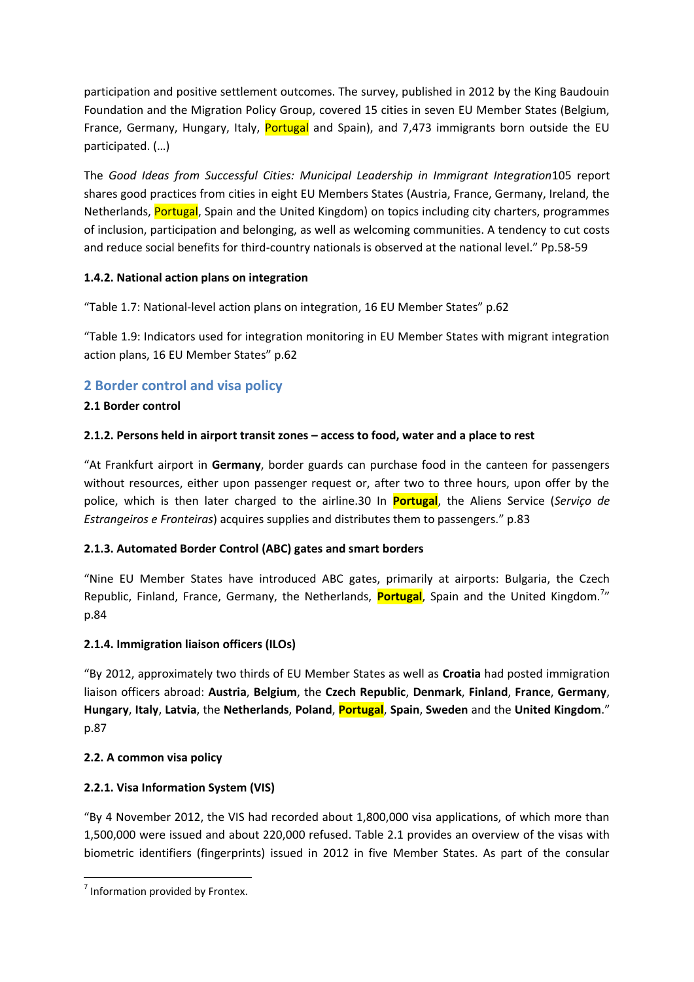participation and positive settlement outcomes. The survey, published in 2012 by the King Baudouin Foundation and the Migration Policy Group, covered 15 cities in seven EU Member States (Belgium, France, Germany, Hungary, Italy, Portugal and Spain), and 7,473 immigrants born outside the EU participated. (…)

The *Good Ideas from Successful Cities: Municipal Leadership in Immigrant Integration*105 report shares good practices from cities in eight EU Members States (Austria, France, Germany, Ireland, the Netherlands, **Portugal**, Spain and the United Kingdom) on topics including city charters, programmes of inclusion, participation and belonging, as well as welcoming communities. A tendency to cut costs and reduce social benefits for third-country nationals is observed at the national level." Pp.58-59

### **1.4.2. National action plans on integration**

"Table 1.7: National-level action plans on integration, 16 EU Member States" p.62

"Table 1.9: Indicators used for integration monitoring in EU Member States with migrant integration action plans, 16 EU Member States" p.62

# **2 Border control and visa policy**

### **2.1 Border control**

### **2.1.2. Persons held in airport transit zones – access to food, water and a place to rest**

"At Frankfurt airport in **Germany**, border guards can purchase food in the canteen for passengers without resources, either upon passenger request or, after two to three hours, upon offer by the police, which is then later charged to the airline.30 In **Portugal**, the Aliens Service (*Serviço de Estrangeiros e Fronteiras*) acquires supplies and distributes them to passengers." p.83

# **2.1.3. Automated Border Control (ABC) gates and smart borders**

"Nine EU Member States have introduced ABC gates, primarily at airports: Bulgaria, the Czech Republic, Finland, France, Germany, the Netherlands, Portugal, Spain and the United Kingdom.<sup>7</sup>" p.84

### **2.1.4. Immigration liaison officers (ILOs)**

"By 2012, approximately two thirds of EU Member States as well as **Croatia** had posted immigration liaison officers abroad: **Austria**, **Belgium**, the **Czech Republic**, **Denmark**, **Finland**, **France**, **Germany**, **Hungary**, **Italy**, **Latvia**, the **Netherlands**, **Poland**, **Portugal**, **Spain**, **Sweden** and the **United Kingdom**." p.87

### **2.2. A common visa policy**

# **2.2.1. Visa Information System (VIS)**

"By 4 November 2012, the VIS had recorded about 1,800,000 visa applications, of which more than 1,500,000 were issued and about 220,000 refused. Table 2.1 provides an overview of the visas with biometric identifiers (fingerprints) issued in 2012 in five Member States. As part of the consular

<sup>&</sup>lt;sup>7</sup> Information provided by Frontex.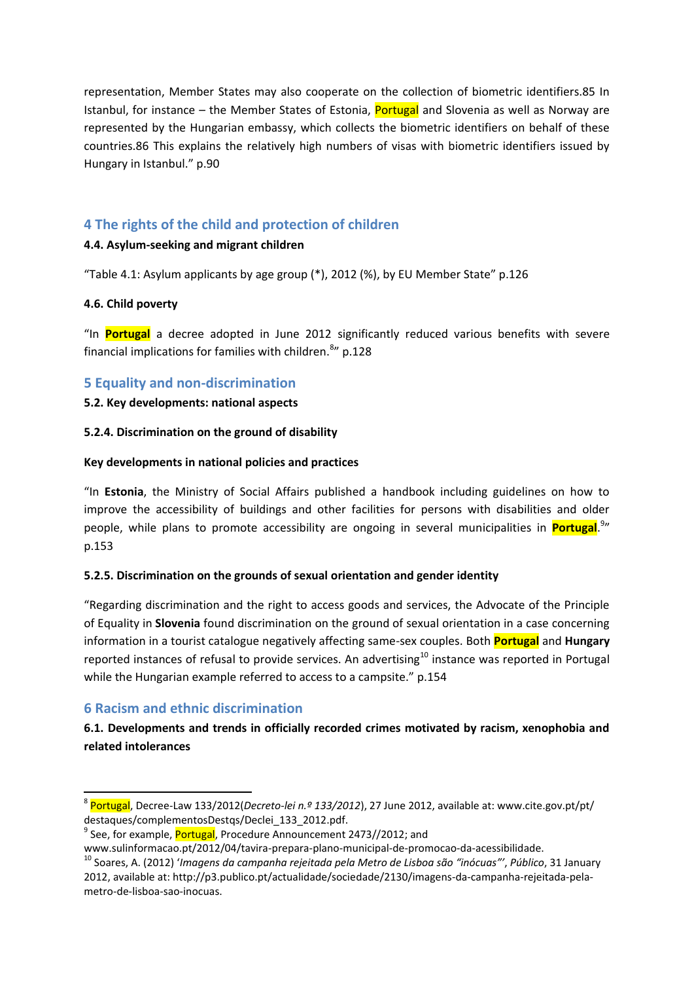representation, Member States may also cooperate on the collection of biometric identifiers.85 In Istanbul, for instance – the Member States of Estonia, Portugal and Slovenia as well as Norway are represented by the Hungarian embassy, which collects the biometric identifiers on behalf of these countries.86 This explains the relatively high numbers of visas with biometric identifiers issued by Hungary in Istanbul." p.90

# **4 The rights of the child and protection of children**

### **4.4. Asylum-seeking and migrant children**

"Table 4.1: Asylum applicants by age group (\*), 2012 (%), by EU Member State" p.126

#### **4.6. Child poverty**

"In **Portugal** a decree adopted in June 2012 significantly reduced various benefits with severe financial implications for families with children.<sup>8</sup>" p.128

### **5 Equality and non-discrimination**

#### **5.2. Key developments: national aspects**

#### **5.2.4. Discrimination on the ground of disability**

#### **Key developments in national policies and practices**

"In **Estonia**, the Ministry of Social Affairs published a handbook including guidelines on how to improve the accessibility of buildings and other facilities for persons with disabilities and older people, while plans to promote accessibility are ongoing in several municipalities in *Portugal.<sup>9</sup>*" p.153

### **5.2.5. Discrimination on the grounds of sexual orientation and gender identity**

"Regarding discrimination and the right to access goods and services, the Advocate of the Principle of Equality in **Slovenia** found discrimination on the ground of sexual orientation in a case concerning information in a tourist catalogue negatively affecting same-sex couples. Both **Portugal** and **Hungary**  reported instances of refusal to provide services. An advertising<sup>10</sup> instance was reported in Portugal while the Hungarian example referred to access to a campsite." p.154

# **6 Racism and ethnic discrimination**

### **6.1. Developments and trends in officially recorded crimes motivated by racism, xenophobia and related intolerances**

 8 Portugal, Decree-Law 133/2012(*Decreto-lei n.º 133/2012*), 27 June 2012, available at: www.cite.gov.pt/pt/ destaques/complementosDestqs/Declei\_133\_2012.pdf.

<sup>&</sup>lt;sup>9</sup> See, for example, Portugal, Procedure Announcement 2473//2012; and

www.sulinformacao.pt/2012/04/tavira-prepara-plano-municipal-de-promocao-da-acessibilidade.

<sup>10</sup> Soares, A. (2012) '*Imagens da campanha rejeitada pela Metro de Lisboa são "inócuas"'*, *Público*, 31 January 2012, available at: http://p3.publico.pt/actualidade/sociedade/2130/imagens-da-campanha-rejeitada-pelametro-de-lisboa-sao-inocuas.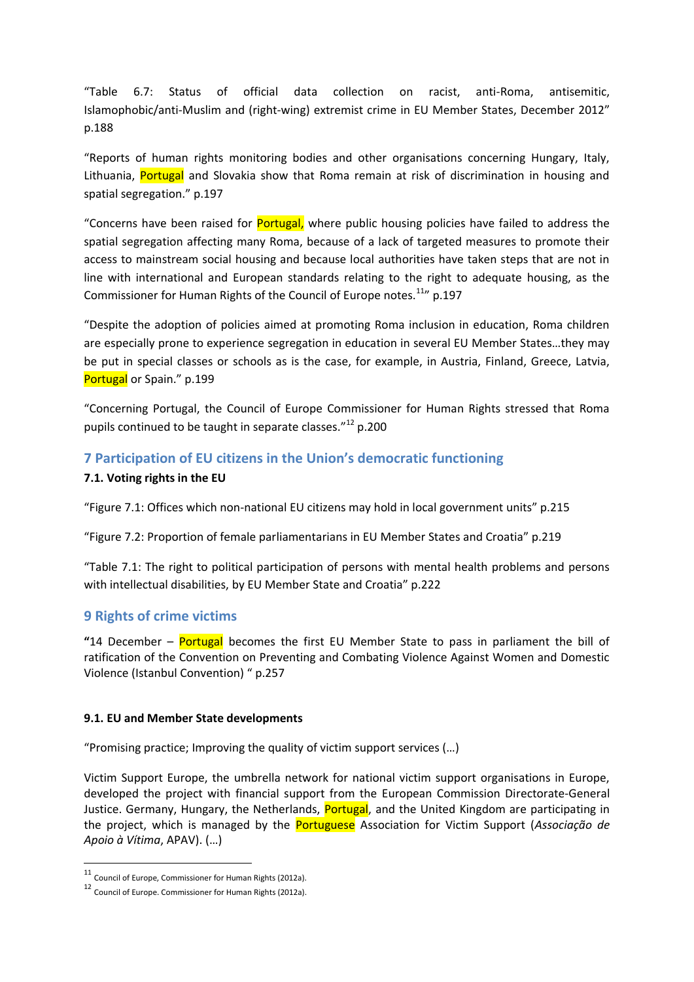"Table 6.7: Status of official data collection on racist, anti-Roma, antisemitic, Islamophobic/anti-Muslim and (right-wing) extremist crime in EU Member States, December 2012" p.188

"Reports of human rights monitoring bodies and other organisations concerning Hungary, Italy, Lithuania, **Portugal** and Slovakia show that Roma remain at risk of discrimination in housing and spatial segregation." p.197

"Concerns have been raised for Portugal, where public housing policies have failed to address the spatial segregation affecting many Roma, because of a lack of targeted measures to promote their access to mainstream social housing and because local authorities have taken steps that are not in line with international and European standards relating to the right to adequate housing, as the Commissioner for Human Rights of the Council of Europe notes.<sup>11</sup>" p.197

"Despite the adoption of policies aimed at promoting Roma inclusion in education, Roma children are especially prone to experience segregation in education in several EU Member States…they may be put in special classes or schools as is the case, for example, in Austria, Finland, Greece, Latvia, Portugal or Spain." p.199

"Concerning Portugal, the Council of Europe Commissioner for Human Rights stressed that Roma pupils continued to be taught in separate classes."<sup>12</sup> p.200

# **7 Participation of EU citizens in the Union's democratic functioning**

#### **7.1. Voting rights in the EU**

"Figure 7.1: Offices which non-national EU citizens may hold in local government units" p.215

"Figure 7.2: Proportion of female parliamentarians in EU Member States and Croatia" p.219

"Table 7.1: The right to political participation of persons with mental health problems and persons with intellectual disabilities, by EU Member State and Croatia" p.222

### **9 Rights of crime victims**

**"**14 December – Portugal becomes the first EU Member State to pass in parliament the bill of ratification of the Convention on Preventing and Combating Violence Against Women and Domestic Violence (Istanbul Convention) " p.257

#### **9.1. EU and Member State developments**

"Promising practice; Improving the quality of victim support services (…)

Victim Support Europe, the umbrella network for national victim support organisations in Europe, developed the project with financial support from the European Commission Directorate-General Justice. Germany, Hungary, the Netherlands, Portugal, and the United Kingdom are participating in the project, which is managed by the Portuguese Association for Victim Support (*Associação de Apoio à Vítima*, APAV). (…)

<sup>11</sup> Council of Europe, Commissioner for Human Rights (2012a).

<sup>12</sup> Council of Europe. Commissioner for Human Rights (2012a).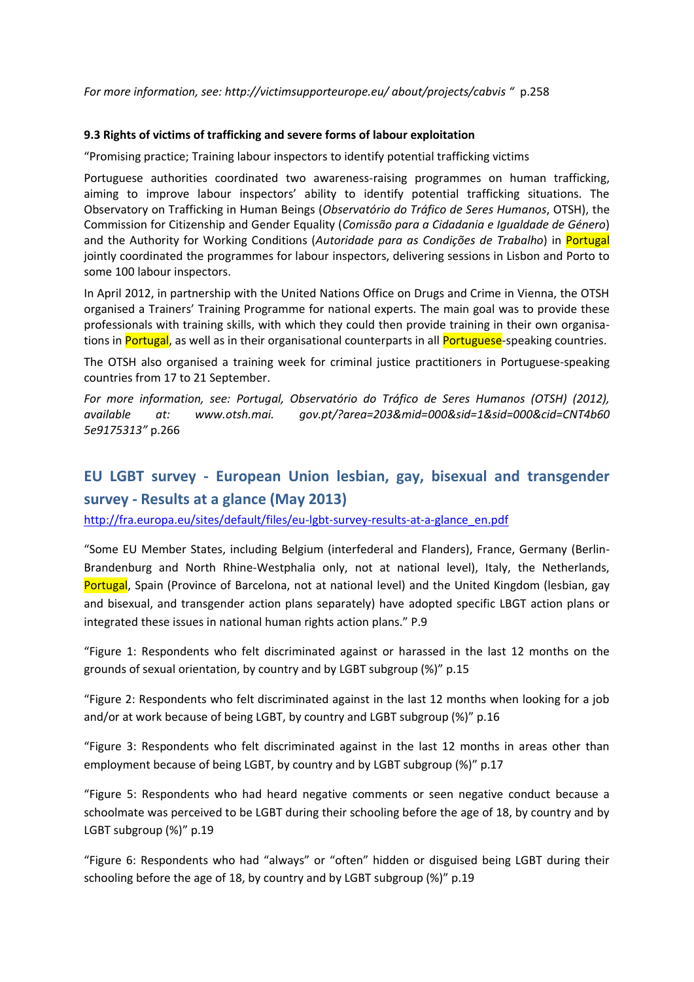*For more information, see: http://victimsupporteurope.eu/ about/projects/cabvis "* p.258

#### **9.3 Rights of victims of trafficking and severe forms of labour exploitation**

"Promising practice; Training labour inspectors to identify potential trafficking victims

Portuguese authorities coordinated two awareness-raising programmes on human trafficking, aiming to improve labour inspectors' ability to identify potential trafficking situations. The Observatory on Trafficking in Human Beings (*Observatório do Tráfico de Seres Humanos*, OTSH), the Commission for Citizenship and Gender Equality (*Comissão para a Cidadania e Igualdade de Género*) and the Authority for Working Conditions (*Autoridade para as Condições de Trabalho*) in Portugal jointly coordinated the programmes for labour inspectors, delivering sessions in Lisbon and Porto to some 100 labour inspectors.

In April 2012, in partnership with the United Nations Office on Drugs and Crime in Vienna, the OTSH organised a Trainers' Training Programme for national experts. The main goal was to provide these professionals with training skills, with which they could then provide training in their own organisations in Portugal, as well as in their organisational counterparts in all Portuguese-speaking countries.

The OTSH also organised a training week for criminal justice practitioners in Portuguese-speaking countries from 17 to 21 September.

*For more information, see: Portugal, Observatório do Tráfico de Seres Humanos (OTSH) (2012), available at: www.otsh.mai. gov.pt/?area=203&mid=000&sid=1&sid=000&cid=CNT4b60 5e9175313"* p.266

# **EU LGBT survey - European Union lesbian, gay, bisexual and transgender survey - Results at a glance (May 2013)**

[http://fra.europa.eu/sites/default/files/eu-lgbt-survey-results-at-a-glance\\_en.pdf](http://fra.europa.eu/sites/default/files/eu-lgbt-survey-results-at-a-glance_en.pdf)

"Some EU Member States, including Belgium (interfederal and Flanders), France, Germany (Berlin-Brandenburg and North Rhine-Westphalia only, not at national level), Italy, the Netherlands, Portugal, Spain (Province of Barcelona, not at national level) and the United Kingdom (lesbian, gay and bisexual, and transgender action plans separately) have adopted specific LBGT action plans or integrated these issues in national human rights action plans." P.9

"Figure 1: Respondents who felt discriminated against or harassed in the last 12 months on the grounds of sexual orientation, by country and by LGBT subgroup (%)" p.15

"Figure 2: Respondents who felt discriminated against in the last 12 months when looking for a job and/or at work because of being LGBT, by country and LGBT subgroup (%)" p.16

"Figure 3: Respondents who felt discriminated against in the last 12 months in areas other than employment because of being LGBT, by country and by LGBT subgroup (%)" p.17

"Figure 5: Respondents who had heard negative comments or seen negative conduct because a schoolmate was perceived to be LGBT during their schooling before the age of 18, by country and by LGBT subgroup (%)" p.19

"Figure 6: Respondents who had "always" or "often" hidden or disguised being LGBT during their schooling before the age of 18, by country and by LGBT subgroup (%)" p.19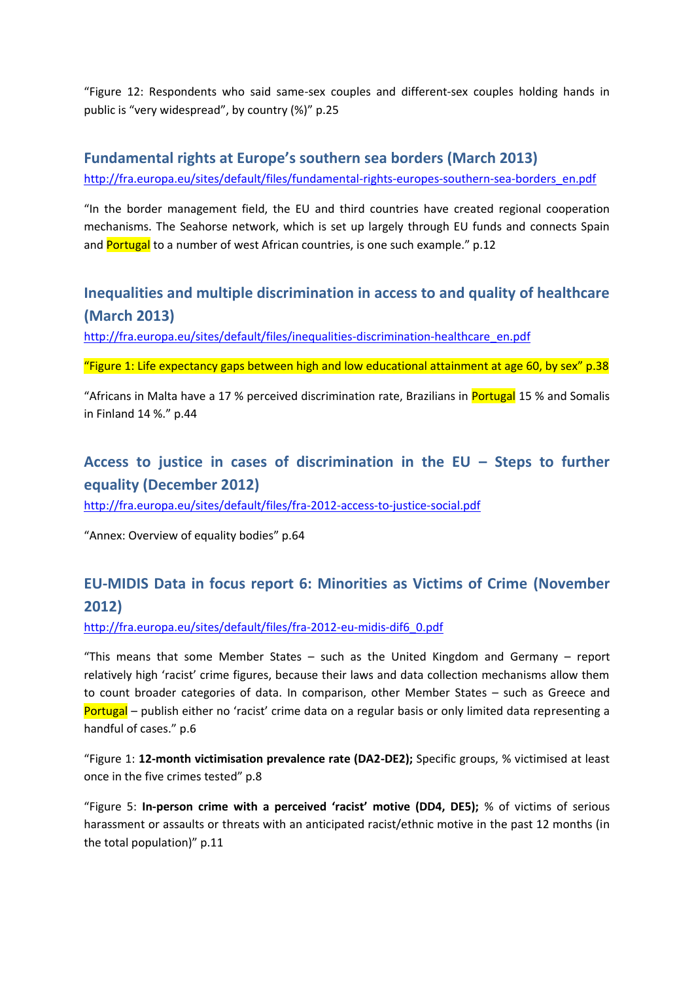"Figure 12: Respondents who said same-sex couples and different-sex couples holding hands in public is "very widespread", by country (%)" p.25

# **Fundamental rights at Europe's southern sea borders (March 2013)**

[http://fra.europa.eu/sites/default/files/fundamental-rights-europes-southern-sea-borders\\_en.pdf](http://fra.europa.eu/sites/default/files/fundamental-rights-europes-southern-sea-borders_en.pdf)

"In the border management field, the EU and third countries have created regional cooperation mechanisms. The Seahorse network, which is set up largely through EU funds and connects Spain and Portugal to a number of west African countries, is one such example." p.12

# **Inequalities and multiple discrimination in access to and quality of healthcare (March 2013)**

[http://fra.europa.eu/sites/default/files/inequalities-discrimination-healthcare\\_en.pdf](http://fra.europa.eu/sites/default/files/inequalities-discrimination-healthcare_en.pdf)

"Figure 1: Life expectancy gaps between high and low educational attainment at age 60, by sex"  $p.38$ 

"Africans in Malta have a 17 % perceived discrimination rate, Brazilians in Portugal 15 % and Somalis in Finland 14 %." p.44

# **Access to justice in cases of discrimination in the EU – Steps to further equality (December 2012)**

<http://fra.europa.eu/sites/default/files/fra-2012-access-to-justice-social.pdf>

"Annex: Overview of equality bodies" p.64

# **EU-MIDIS Data in focus report 6: Minorities as Victims of Crime (November 2012)**

[http://fra.europa.eu/sites/default/files/fra-2012-eu-midis-dif6\\_0.pdf](http://fra.europa.eu/sites/default/files/fra-2012-eu-midis-dif6_0.pdf)

"This means that some Member States – such as the United Kingdom and Germany – report relatively high 'racist' crime figures, because their laws and data collection mechanisms allow them to count broader categories of data. In comparison, other Member States – such as Greece and Portugal – publish either no 'racist' crime data on a regular basis or only limited data representing a handful of cases." p.6

"Figure 1: **12-month victimisation prevalence rate (DA2-DE2);** Specific groups, % victimised at least once in the five crimes tested" p.8

"Figure 5: **In-person crime with a perceived 'racist' motive (DD4, DE5);** % of victims of serious harassment or assaults or threats with an anticipated racist/ethnic motive in the past 12 months (in the total population)" p.11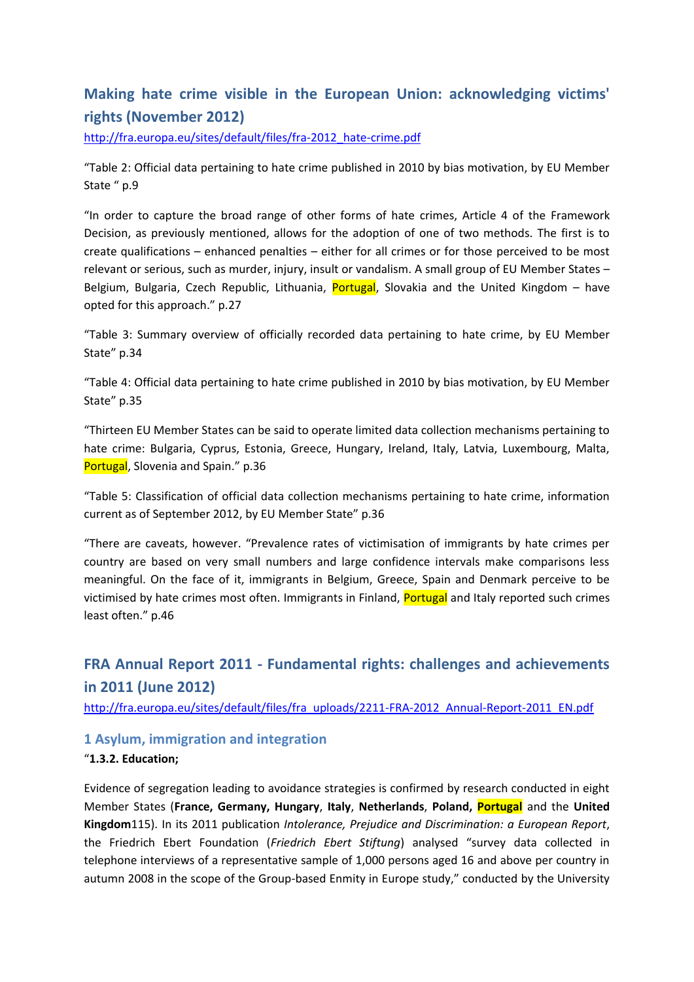# **Making hate crime visible in the European Union: acknowledging victims' rights (November 2012)**

[http://fra.europa.eu/sites/default/files/fra-2012\\_hate-crime.pdf](http://fra.europa.eu/sites/default/files/fra-2012_hate-crime.pdf)

"Table 2: Official data pertaining to hate crime published in 2010 by bias motivation, by EU Member State " p.9

"In order to capture the broad range of other forms of hate crimes, Article 4 of the Framework Decision, as previously mentioned, allows for the adoption of one of two methods. The first is to create qualifications – enhanced penalties – either for all crimes or for those perceived to be most relevant or serious, such as murder, injury, insult or vandalism. A small group of EU Member States – Belgium, Bulgaria, Czech Republic, Lithuania, Portugal, Slovakia and the United Kingdom - have opted for this approach." p.27

"Table 3: Summary overview of officially recorded data pertaining to hate crime, by EU Member State" p.34

"Table 4: Official data pertaining to hate crime published in 2010 by bias motivation, by EU Member State" p.35

"Thirteen EU Member States can be said to operate limited data collection mechanisms pertaining to hate crime: Bulgaria, Cyprus, Estonia, Greece, Hungary, Ireland, Italy, Latvia, Luxembourg, Malta, Portugal, Slovenia and Spain." p.36

"Table 5: Classification of official data collection mechanisms pertaining to hate crime, information current as of September 2012, by EU Member State" p.36

"There are caveats, however. "Prevalence rates of victimisation of immigrants by hate crimes per country are based on very small numbers and large confidence intervals make comparisons less meaningful. On the face of it, immigrants in Belgium, Greece, Spain and Denmark perceive to be victimised by hate crimes most often. Immigrants in Finland, Portugal and Italy reported such crimes least often." p.46

# **FRA Annual Report 2011 - Fundamental rights: challenges and achievements in 2011 (June 2012)**

[http://fra.europa.eu/sites/default/files/fra\\_uploads/2211-FRA-2012\\_Annual-Report-2011\\_EN.pdf](http://fra.europa.eu/sites/default/files/fra_uploads/2211-FRA-2012_Annual-Report-2011_EN.pdf)

### **1 Asylum, immigration and integration**

### "**1.3.2. Education;**

Evidence of segregation leading to avoidance strategies is confirmed by research conducted in eight Member States (**France, Germany, Hungary**, **Italy**, **Netherlands**, **Poland, Portugal** and the **United Kingdom**115). In its 2011 publication *Intolerance, Prejudice and Discrimination: a European Report*, the Friedrich Ebert Foundation (*Friedrich Ebert Stiftung*) analysed "survey data collected in telephone interviews of a representative sample of 1,000 persons aged 16 and above per country in autumn 2008 in the scope of the Group-based Enmity in Europe study," conducted by the University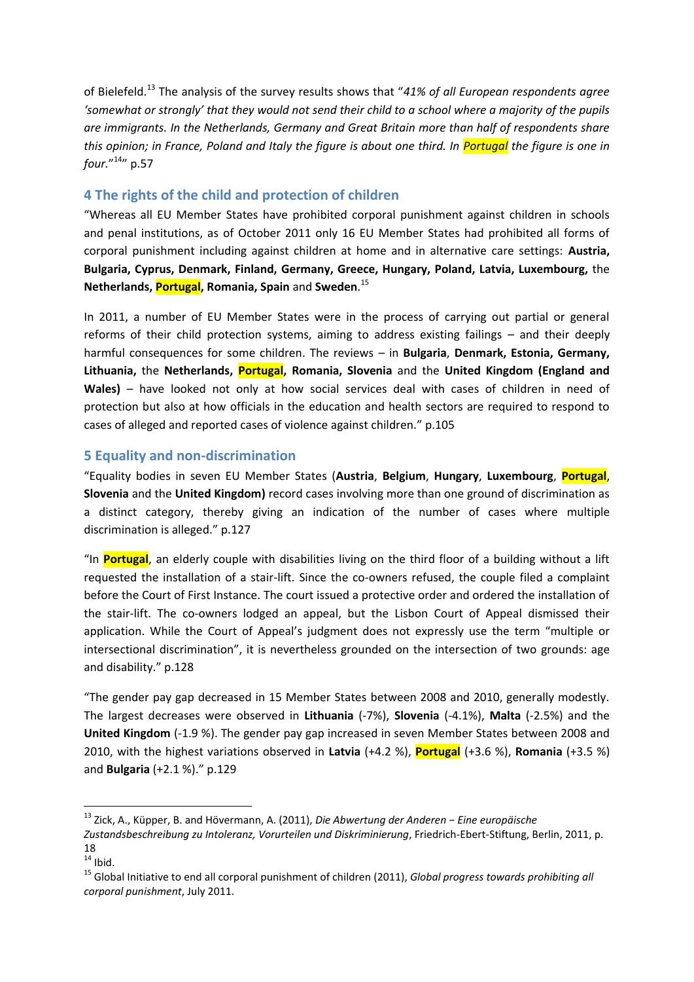of Bielefeld.<sup>13</sup> The analysis of the survey results shows that "*41% of all European respondents agree 'somewhat or strongly' that they would not send their child to a school where a majority of the pupils are immigrants. In the Netherlands, Germany and Great Britain more than half of respondents share this opinion; in France, Poland and Italy the figure is about one third. In Portugal the figure is one in four.*" <sup>14</sup>" p.57

### **4 The rights of the child and protection of children**

"Whereas all EU Member States have prohibited corporal punishment against children in schools and penal institutions, as of October 2011 only 16 EU Member States had prohibited all forms of corporal punishment including against children at home and in alternative care settings: **Austria, Bulgaria, Cyprus, Denmark, Finland, Germany, Greece, Hungary, Poland, Latvia, Luxembourg,** the **Netherlands, Portugal, Romania, Spain** and **Sweden**. 15

In 2011, a number of EU Member States were in the process of carrying out partial or general reforms of their child protection systems, aiming to address existing failings – and their deeply harmful consequences for some children. The reviews – in **Bulgaria**, **Denmark, Estonia, Germany, Lithuania,** the **Netherlands, Portugal, Romania, Slovenia** and the **United Kingdom (England and**  Wales) – have looked not only at how social services deal with cases of children in need of protection but also at how officials in the education and health sectors are required to respond to cases of alleged and reported cases of violence against children." p.105

### **5 Equality and non-discrimination**

"Equality bodies in seven EU Member States (**Austria**, **Belgium**, **Hungary**, **Luxembourg**, **Portugal**, **Slovenia** and the **United Kingdom)** record cases involving more than one ground of discrimination as a distinct category, thereby giving an indication of the number of cases where multiple discrimination is alleged." p.127

"In **Portugal**, an elderly couple with disabilities living on the third floor of a building without a lift requested the installation of a stair-lift. Since the co-owners refused, the couple filed a complaint before the Court of First Instance. The court issued a protective order and ordered the installation of the stair-lift. The co-owners lodged an appeal, but the Lisbon Court of Appeal dismissed their application. While the Court of Appeal's judgment does not expressly use the term "multiple or intersectional discrimination", it is nevertheless grounded on the intersection of two grounds: age and disability." p.128

"The gender pay gap decreased in 15 Member States between 2008 and 2010, generally modestly. The largest decreases were observed in **Lithuania** (-7%), **Slovenia** (-4.1%), **Malta** (-2.5%) and the **United Kingdom** (-1.9 %). The gender pay gap increased in seven Member States between 2008 and 2010, with the highest variations observed in **Latvia** (+4.2 %), **Portugal** (+3.6 %), **Romania** (+3.5 %) and **Bulgaria** (+2.1 %)." p.129

<sup>13</sup> Zick, A., Küpper, B. and Hövermann, A. (2011), *Die Abwertung der Anderen − Eine europäische* 

*Zustandsbeschreibung zu Intoleranz, Vorurteilen und Diskriminierung*, Friedrich-Ebert-Stiftung, Berlin, 2011, p. 18

 $14$  Ibid.

<sup>15</sup> Global Initiative to end all corporal punishment of children (2011), *Global progress towards prohibiting all corporal punishment*, July 2011.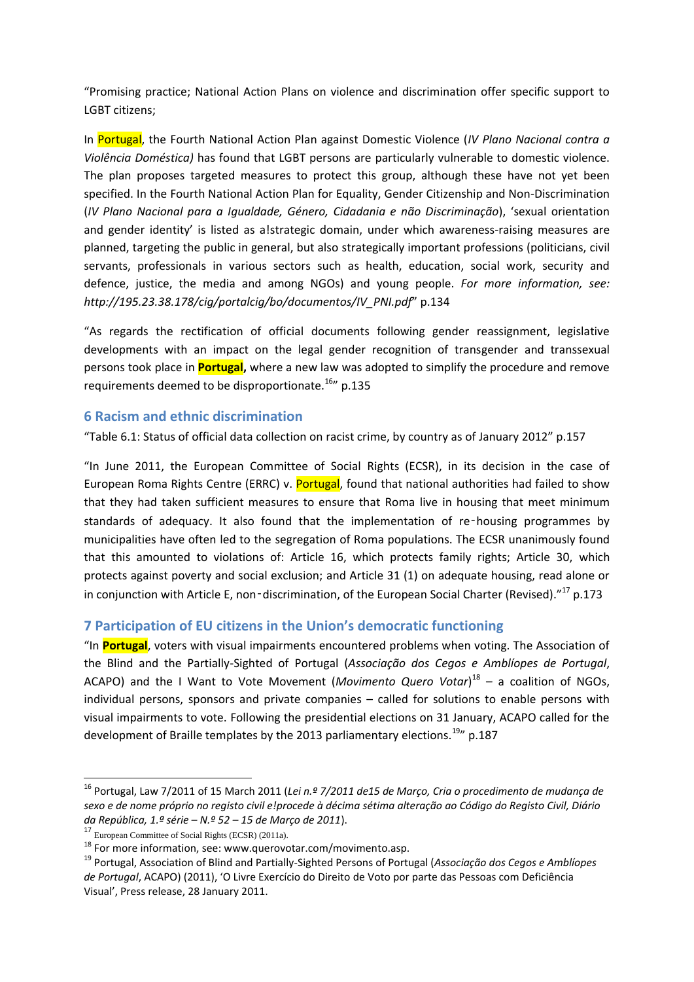"Promising practice; National Action Plans on violence and discrimination offer specific support to LGBT citizens;

In Portugal, the Fourth National Action Plan against Domestic Violence (*IV Plano Nacional contra a Violência Doméstica)* has found that LGBT persons are particularly vulnerable to domestic violence. The plan proposes targeted measures to protect this group, although these have not yet been specified. In the Fourth National Action Plan for Equality, Gender Citizenship and Non-Discrimination (*IV Plano Nacional para a Igualdade, Género, Cidadania e não Discriminação*), 'sexual orientation and gender identity' is listed as a!strategic domain, under which awareness-raising measures are planned, targeting the public in general, but also strategically important professions (politicians, civil servants, professionals in various sectors such as health, education, social work, security and defence, justice, the media and among NGOs) and young people. *For more information, see: http://195.23.38.178/cig/portalcig/bo/documentos/IV\_PNI.pdf*" p.134

"As regards the rectification of official documents following gender reassignment, legislative developments with an impact on the legal gender recognition of transgender and transsexual persons took place in **Portugal,** where a new law was adopted to simplify the procedure and remove requirements deemed to be disproportionate.<sup>16</sup>" p.135

### **6 Racism and ethnic discrimination**

"Table 6.1: Status of official data collection on racist crime, by country as of January 2012" p.157

"In June 2011, the European Committee of Social Rights (ECSR), in its decision in the case of European Roma Rights Centre (ERRC) v. Portugal, found that national authorities had failed to show that they had taken sufficient measures to ensure that Roma live in housing that meet minimum standards of adequacy. It also found that the implementation of re-housing programmes by municipalities have often led to the segregation of Roma populations. The ECSR unanimously found that this amounted to violations of: Article 16, which protects family rights; Article 30, which protects against poverty and social exclusion; and Article 31 (1) on adequate housing, read alone or in conjunction with Article E, non-discrimination, of the European Social Charter (Revised). $17^{17}$  p.173

# **7 Participation of EU citizens in the Union's democratic functioning**

"In **Portugal**, voters with visual impairments encountered problems when voting. The Association of the Blind and the Partially-Sighted of Portugal (*Associação dos Cegos e Amblíopes de Portugal*, ACAPO) and the I Want to Vote Movement (*Movimento Quero Votar*) 18 – a coalition of NGOs, individual persons, sponsors and private companies – called for solutions to enable persons with visual impairments to vote. Following the presidential elections on 31 January, ACAPO called for the development of Braille templates by the 2013 parliamentary elections.<sup>19</sup>  $\mu$  p.187

<sup>16</sup> Portugal, Law 7/2011 of 15 March 2011 (*Lei n.º 7/2011 de15 de Março, Cria o procedimento de mudança de sexo e de nome próprio no registo civil e!procede à décima sétima alteração ao Código do Registo Civil, Diário da República, 1.ª série – N.º 52 – 15 de Março de 2011*).

<sup>17</sup> European Committee of Social Rights (ECSR) (2011a).

<sup>&</sup>lt;sup>18</sup> For more information, see: www.querovotar.com/movimento.asp.

<sup>19</sup> Portugal, Association of Blind and Partially-Sighted Persons of Portugal (*Associação dos Cegos e Amblíopes de Portugal*, ACAPO) (2011), 'O Livre Exercício do Direito de Voto por parte das Pessoas com Deficiência Visual', Press release, 28 January 2011.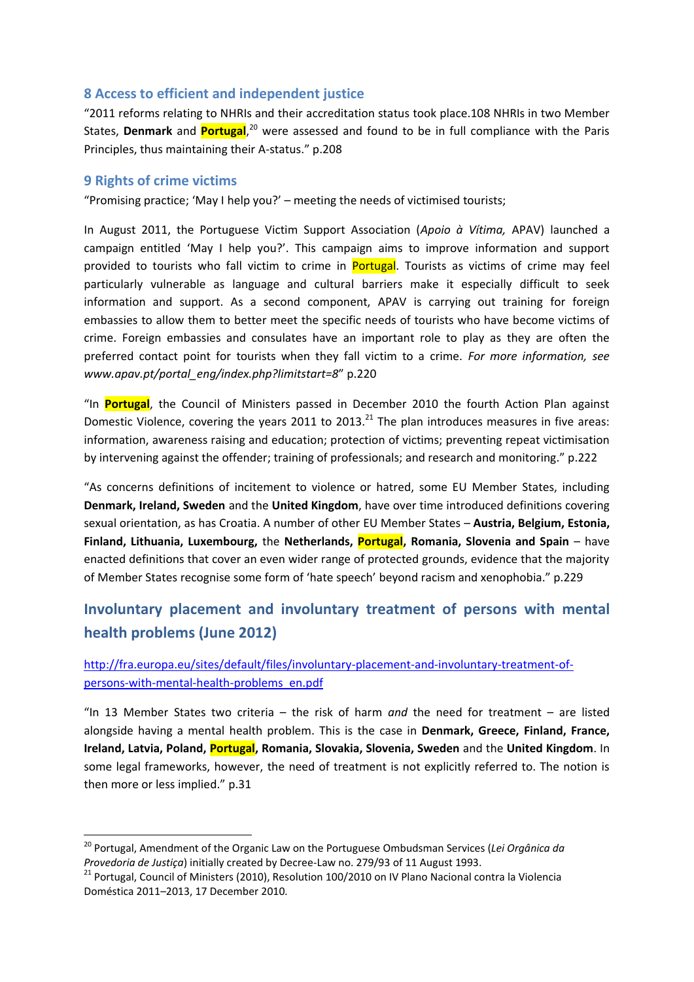### **8 Access to efficient and independent justice**

"2011 reforms relating to NHRIs and their accreditation status took place.108 NHRIs in two Member States, **Denmark** and **Portugal**, <sup>20</sup> were assessed and found to be in full compliance with the Paris Principles, thus maintaining their A-status." p.208

#### **9 Rights of crime victims**

1

"Promising practice; 'May I help you?' – meeting the needs of victimised tourists;

In August 2011, the Portuguese Victim Support Association (*Apoio à Vítima,* APAV) launched a campaign entitled 'May I help you?'. This campaign aims to improve information and support provided to tourists who fall victim to crime in Portugal. Tourists as victims of crime may feel particularly vulnerable as language and cultural barriers make it especially difficult to seek information and support. As a second component, APAV is carrying out training for foreign embassies to allow them to better meet the specific needs of tourists who have become victims of crime. Foreign embassies and consulates have an important role to play as they are often the preferred contact point for tourists when they fall victim to a crime. *For more information, see www.apav.pt/portal\_eng/index.php?limitstart=8*" p.220

"In **Portugal**, the Council of Ministers passed in December 2010 the fourth Action Plan against Domestic Violence, covering the years 2011 to 2013.<sup>21</sup> The plan introduces measures in five areas: information, awareness raising and education; protection of victims; preventing repeat victimisation by intervening against the offender; training of professionals; and research and monitoring." p.222

"As concerns definitions of incitement to violence or hatred, some EU Member States, including **Denmark, Ireland, Sweden** and the **United Kingdom**, have over time introduced definitions covering sexual orientation, as has Croatia. A number of other EU Member States – **Austria, Belgium, Estonia, Finland, Lithuania, Luxembourg,** the **Netherlands, Portugal, Romania, Slovenia and Spain** – have enacted definitions that cover an even wider range of protected grounds, evidence that the majority of Member States recognise some form of 'hate speech' beyond racism and xenophobia." p.229

# **Involuntary placement and involuntary treatment of persons with mental health problems (June 2012)**

[http://fra.europa.eu/sites/default/files/involuntary-placement-and-involuntary-treatment-of](http://fra.europa.eu/sites/default/files/involuntary-placement-and-involuntary-treatment-of-persons-with-mental-health-problems_en.pdf)[persons-with-mental-health-problems\\_en.pdf](http://fra.europa.eu/sites/default/files/involuntary-placement-and-involuntary-treatment-of-persons-with-mental-health-problems_en.pdf)

"In 13 Member States two criteria – the risk of harm *and* the need for treatment – are listed alongside having a mental health problem. This is the case in **Denmark, Greece, Finland, France, Ireland, Latvia, Poland, Portugal, Romania, Slovakia, Slovenia, Sweden** and the **United Kingdom**. In some legal frameworks, however, the need of treatment is not explicitly referred to. The notion is then more or less implied." p.31

<sup>20</sup> Portugal, Amendment of the Organic Law on the Portuguese Ombudsman Services (*Lei Orgânica da Provedoria de Justiça*) initially created by Decree-Law no. 279/93 of 11 August 1993.

<sup>&</sup>lt;sup>21</sup> Portugal, Council of Ministers (2010), Resolution 100/2010 on IV Plano Nacional contra la Violencia Doméstica 2011–2013, 17 December 2010*.*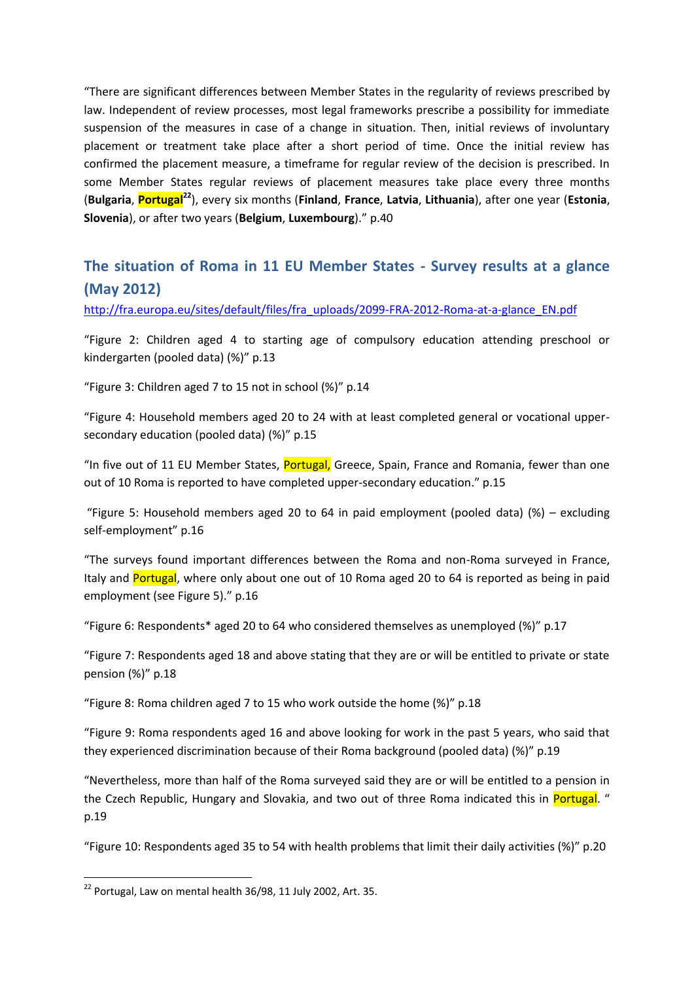"There are significant differences between Member States in the regularity of reviews prescribed by law. Independent of review processes, most legal frameworks prescribe a possibility for immediate suspension of the measures in case of a change in situation. Then, initial reviews of involuntary placement or treatment take place after a short period of time. Once the initial review has confirmed the placement measure, a timeframe for regular review of the decision is prescribed. In some Member States regular reviews of placement measures take place every three months (**Bulgaria**, **Portugal<sup>22</sup>**), every six months (**Finland**, **France**, **Latvia**, **Lithuania**), after one year (**Estonia**, **Slovenia**), or after two years (**Belgium**, **Luxembourg**)." p.40

# **The situation of Roma in 11 EU Member States - Survey results at a glance (May 2012)**

[http://fra.europa.eu/sites/default/files/fra\\_uploads/2099-FRA-2012-Roma-at-a-glance\\_EN.pdf](http://fra.europa.eu/sites/default/files/fra_uploads/2099-FRA-2012-Roma-at-a-glance_EN.pdf)

"Figure 2: Children aged 4 to starting age of compulsory education attending preschool or kindergarten (pooled data) (%)" p.13

"Figure 3: Children aged 7 to 15 not in school (%)" p.14

"Figure 4: Household members aged 20 to 24 with at least completed general or vocational uppersecondary education (pooled data) (%)" p.15

"In five out of 11 EU Member States, Portugal, Greece, Spain, France and Romania, fewer than one out of 10 Roma is reported to have completed upper-secondary education." p.15

"Figure 5: Household members aged 20 to 64 in paid employment (pooled data) (%) – excluding self-employment" p.16

"The surveys found important differences between the Roma and non-Roma surveyed in France, Italy and Portugal, where only about one out of 10 Roma aged 20 to 64 is reported as being in paid employment (see Figure 5)." p.16

"Figure 6: Respondents\* aged 20 to 64 who considered themselves as unemployed (%)" p.17

"Figure 7: Respondents aged 18 and above stating that they are or will be entitled to private or state pension (%)" p.18

"Figure 8: Roma children aged 7 to 15 who work outside the home (%)" p.18

"Figure 9: Roma respondents aged 16 and above looking for work in the past 5 years, who said that they experienced discrimination because of their Roma background (pooled data) (%)" p.19

"Nevertheless, more than half of the Roma surveyed said they are or will be entitled to a pension in the Czech Republic, Hungary and Slovakia, and two out of three Roma indicated this in Portugal. " p.19

"Figure 10: Respondents aged 35 to 54 with health problems that limit their daily activities (%)" p.20

 $^{22}$  Portugal, Law on mental health 36/98, 11 July 2002, Art. 35.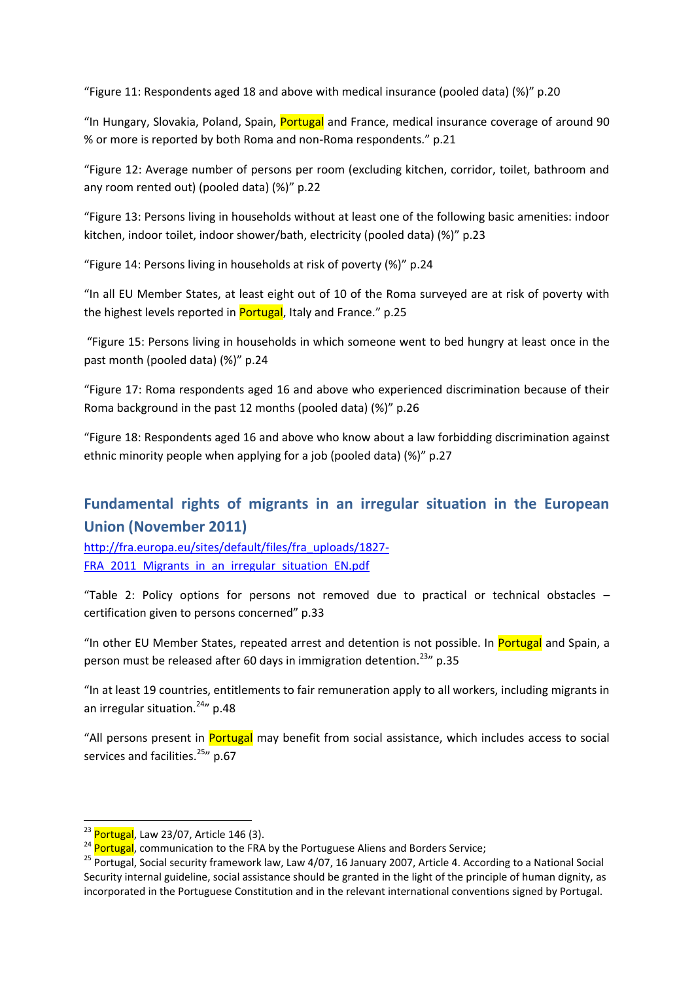"Figure 11: Respondents aged 18 and above with medical insurance (pooled data) (%)" p.20

"In Hungary, Slovakia, Poland, Spain, Portugal and France, medical insurance coverage of around 90 % or more is reported by both Roma and non-Roma respondents." p.21

"Figure 12: Average number of persons per room (excluding kitchen, corridor, toilet, bathroom and any room rented out) (pooled data) (%)" p.22

"Figure 13: Persons living in households without at least one of the following basic amenities: indoor kitchen, indoor toilet, indoor shower/bath, electricity (pooled data) (%)" p.23

"Figure 14: Persons living in households at risk of poverty (%)" p.24

"In all EU Member States, at least eight out of 10 of the Roma surveyed are at risk of poverty with the highest levels reported in Portugal, Italy and France." p.25

"Figure 15: Persons living in households in which someone went to bed hungry at least once in the past month (pooled data) (%)" p.24

"Figure 17: Roma respondents aged 16 and above who experienced discrimination because of their Roma background in the past 12 months (pooled data) (%)" p.26

"Figure 18: Respondents aged 16 and above who know about a law forbidding discrimination against ethnic minority people when applying for a job (pooled data) (%)" p.27

# **Fundamental rights of migrants in an irregular situation in the European Union (November 2011)**

[http://fra.europa.eu/sites/default/files/fra\\_uploads/1827-](http://fra.europa.eu/sites/default/files/fra_uploads/1827-FRA_2011_Migrants_in_an_irregular_situation_EN.pdf) FRA 2011 Migrants in an irregular situation EN.pdf

"Table 2: Policy options for persons not removed due to practical or technical obstacles – certification given to persons concerned" p.33

"In other EU Member States, repeated arrest and detention is not possible. In Portugal and Spain, a person must be released after 60 days in immigration detention.<sup>23</sup>" p.35

"In at least 19 countries, entitlements to fair remuneration apply to all workers, including migrants in an irregular situation. $24''$  p.48

"All persons present in Portugal may benefit from social assistance, which includes access to social services and facilities.<sup>25</sup>*n* p.67

 $^{23}$  Portugal, Law 23/07, Article 146 (3).

<sup>&</sup>lt;sup>24</sup> Portugal, communication to the FRA by the Portuguese Aliens and Borders Service;

<sup>&</sup>lt;sup>25</sup> Portugal, Social security framework law, Law 4/07, 16 January 2007, Article 4. According to a National Social Security internal guideline, social assistance should be granted in the light of the principle of human dignity, as incorporated in the Portuguese Constitution and in the relevant international conventions signed by Portugal.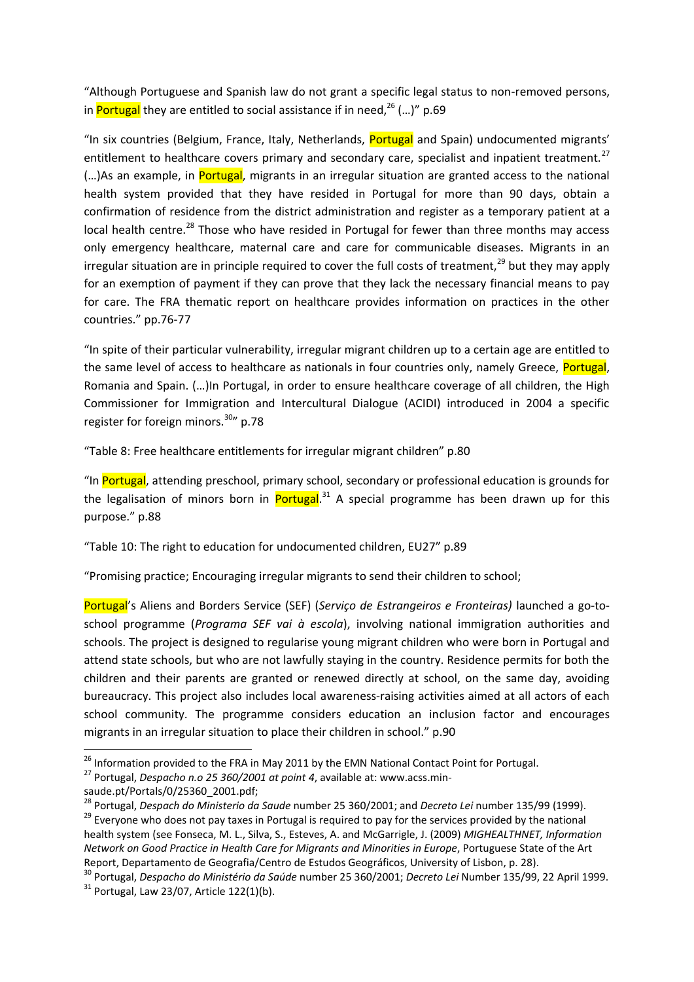"Although Portuguese and Spanish law do not grant a specific legal status to non-removed persons, in Portugal they are entitled to social assistance if in need, $^{26}$  (...)" p.69

"In six countries (Belgium, France, Italy, Netherlands, Portugal and Spain) undocumented migrants' entitlement to healthcare covers primary and secondary care, specialist and inpatient treatment.<sup>27</sup> (...)As an example, in Portugal, migrants in an irregular situation are granted access to the national health system provided that they have resided in Portugal for more than 90 days, obtain a confirmation of residence from the district administration and register as a temporary patient at a local health centre.<sup>28</sup> Those who have resided in Portugal for fewer than three months may access only emergency healthcare, maternal care and care for communicable diseases. Migrants in an irregular situation are in principle required to cover the full costs of treatment,<sup>29</sup> but they may apply for an exemption of payment if they can prove that they lack the necessary financial means to pay for care. The FRA thematic report on healthcare provides information on practices in the other countries." pp.76-77

"In spite of their particular vulnerability, irregular migrant children up to a certain age are entitled to the same level of access to healthcare as nationals in four countries only, namely Greece, **Portugal**, Romania and Spain. (…)In Portugal, in order to ensure healthcare coverage of all children, the High Commissioner for Immigration and Intercultural Dialogue (ACIDI) introduced in 2004 a specific register for foreign minors.<sup>30</sup>" p.78

"Table 8: Free healthcare entitlements for irregular migrant children" p.80

"In Portugal, attending preschool, primary school, secondary or professional education is grounds for the legalisation of minors born in *Portugal*.<sup>31</sup> A special programme has been drawn up for this purpose." p.88

"Table 10: The right to education for undocumented children, EU27" p.89

"Promising practice; Encouraging irregular migrants to send their children to school;

Portugal's Aliens and Borders Service (SEF) (*Serviço de Estrangeiros e Fronteiras)* launched a go-toschool programme (*Programa SEF vai à escola*), involving national immigration authorities and schools. The project is designed to regularise young migrant children who were born in Portugal and attend state schools, but who are not lawfully staying in the country. Residence permits for both the children and their parents are granted or renewed directly at school, on the same day, avoiding bureaucracy. This project also includes local awareness-raising activities aimed at all actors of each school community. The programme considers education an inclusion factor and encourages migrants in an irregular situation to place their children in school." p.90

<sup>&</sup>lt;sup>26</sup> Information provided to the FRA in May 2011 by the EMN National Contact Point for Portugal.

<sup>27</sup> Portugal, *Despacho n.o 25 360/2001 at point 4*, available at: www.acss.min-

saude.pt/Portals/0/25360\_2001.pdf;

<sup>28</sup> Portugal, *Despach do Ministerio da Saude* number 25 360/2001; and *Decreto Lei* number 135/99 (1999). <sup>29</sup> Everyone who does not pay taxes in Portugal is required to pay for the services provided by the national health system (see Fonseca, M. L., Silva, S., Esteves, A. and McGarrigle, J. (2009) *MIGHEALTHNET, Information Network on Good Practice in Health Care for Migrants and Minorities in Europe*, Portuguese State of the Art Report, Departamento de Geografia/Centro de Estudos Geográficos, University of Lisbon, p. 28).

<sup>30</sup> Portugal, *Despacho do Ministério da Saúde* number 25 360/2001; *Decreto Lei* Number 135/99, 22 April 1999.

 $31$  Portugal, Law 23/07, Article 122(1)(b).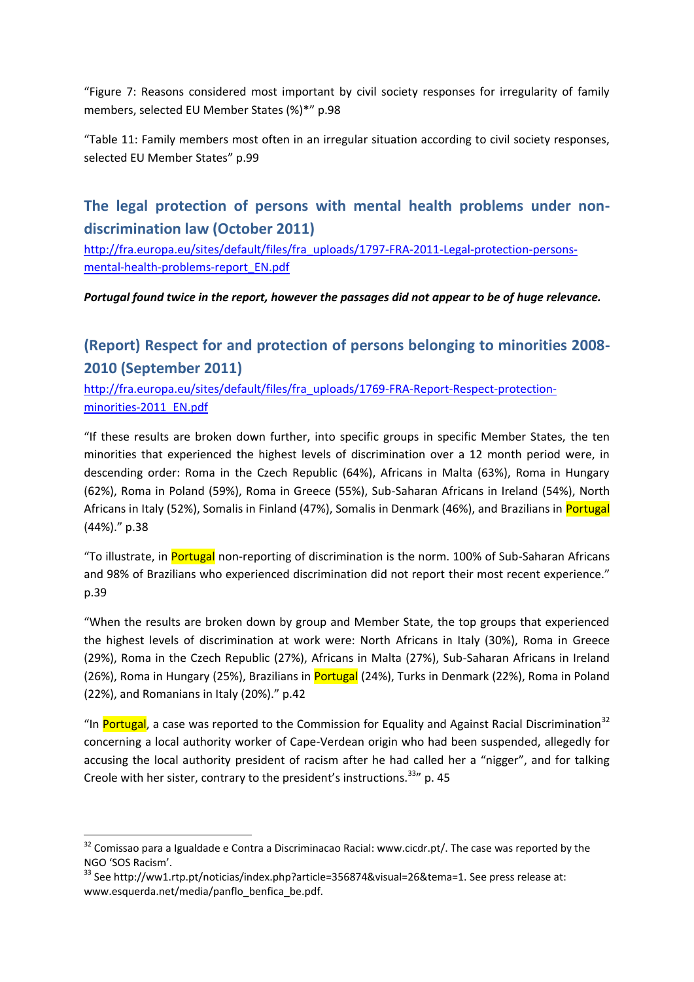"Figure 7: Reasons considered most important by civil society responses for irregularity of family members, selected EU Member States (%)\*" p.98

"Table 11: Family members most often in an irregular situation according to civil society responses, selected EU Member States" p.99

# **The legal protection of persons with mental health problems under nondiscrimination law (October 2011)**

[http://fra.europa.eu/sites/default/files/fra\\_uploads/1797-FRA-2011-Legal-protection-persons](http://fra.europa.eu/sites/default/files/fra_uploads/1797-FRA-2011-Legal-protection-persons-mental-health-problems-report_EN.pdf)[mental-health-problems-report\\_EN.pdf](http://fra.europa.eu/sites/default/files/fra_uploads/1797-FRA-2011-Legal-protection-persons-mental-health-problems-report_EN.pdf)

*Portugal found twice in the report, however the passages did not appear to be of huge relevance.*

# **(Report) Respect for and protection of persons belonging to minorities 2008- 2010 (September 2011)**

[http://fra.europa.eu/sites/default/files/fra\\_uploads/1769-FRA-Report-Respect-protection](http://fra.europa.eu/sites/default/files/fra_uploads/1769-FRA-Report-Respect-protection-minorities-2011_EN.pdf)[minorities-2011\\_EN.pdf](http://fra.europa.eu/sites/default/files/fra_uploads/1769-FRA-Report-Respect-protection-minorities-2011_EN.pdf)

"If these results are broken down further, into specific groups in specific Member States, the ten minorities that experienced the highest levels of discrimination over a 12 month period were, in descending order: Roma in the Czech Republic (64%), Africans in Malta (63%), Roma in Hungary (62%), Roma in Poland (59%), Roma in Greece (55%), Sub-Saharan Africans in Ireland (54%), North Africans in Italy (52%), Somalis in Finland (47%), Somalis in Denmark (46%), and Brazilians in Portugal (44%)." p.38

"To illustrate, in Portugal non-reporting of discrimination is the norm. 100% of Sub-Saharan Africans and 98% of Brazilians who experienced discrimination did not report their most recent experience." p.39

"When the results are broken down by group and Member State, the top groups that experienced the highest levels of discrimination at work were: North Africans in Italy (30%), Roma in Greece (29%), Roma in the Czech Republic (27%), Africans in Malta (27%), Sub-Saharan Africans in Ireland (26%), Roma in Hungary (25%), Brazilians in Portugal (24%), Turks in Denmark (22%), Roma in Poland (22%), and Romanians in Italy (20%)." p.42

"In Portugal, a case was reported to the Commission for Equality and Against Racial Discrimination<sup>32</sup> concerning a local authority worker of Cape-Verdean origin who had been suspended, allegedly for accusing the local authority president of racism after he had called her a "nigger", and for talking Creole with her sister, contrary to the president's instructions.<sup>33</sup> p. 45

<sup>&</sup>lt;sup>32</sup> Comissao para a Igualdade e Contra a Discriminacao Racial: www.cicdr.pt/. The case was reported by the NGO 'SOS Racism'.

 $33$  See http://ww1.rtp.pt/noticias/index.php?article=356874&visual=26&tema=1. See press release at: www.esquerda.net/media/panflo\_benfica\_be.pdf.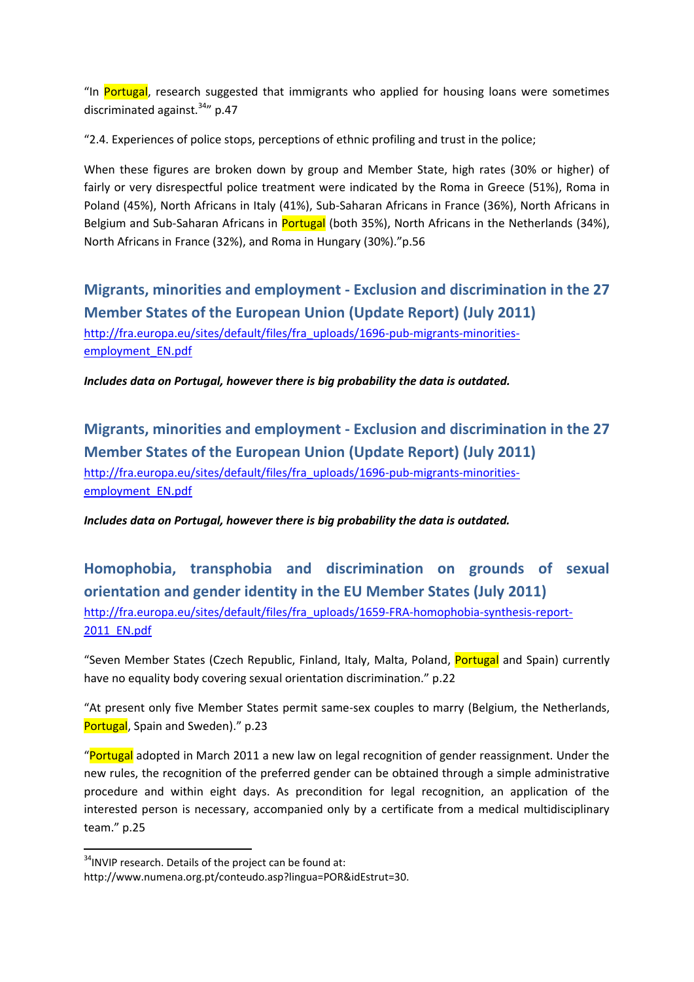"In Portugal, research suggested that immigrants who applied for housing loans were sometimes discriminated against. $34''$  p.47

"2.4. Experiences of police stops, perceptions of ethnic profiling and trust in the police;

When these figures are broken down by group and Member State, high rates (30% or higher) of fairly or very disrespectful police treatment were indicated by the Roma in Greece (51%), Roma in Poland (45%), North Africans in Italy (41%), Sub-Saharan Africans in France (36%), North Africans in Belgium and Sub-Saharan Africans in Portugal (both 35%), North Africans in the Netherlands (34%), North Africans in France (32%), and Roma in Hungary (30%)."p.56

**Migrants, minorities and employment - Exclusion and discrimination in the 27 Member States of the European Union (Update Report) (July 2011)** [http://fra.europa.eu/sites/default/files/fra\\_uploads/1696-pub-migrants-minorities](http://fra.europa.eu/sites/default/files/fra_uploads/1696-pub-migrants-minorities-employment_EN.pdf)[employment\\_EN.pdf](http://fra.europa.eu/sites/default/files/fra_uploads/1696-pub-migrants-minorities-employment_EN.pdf)

*Includes data on Portugal, however there is big probability the data is outdated.* 

**Migrants, minorities and employment - Exclusion and discrimination in the 27 Member States of the European Union (Update Report) (July 2011)** [http://fra.europa.eu/sites/default/files/fra\\_uploads/1696-pub-migrants-minorities](http://fra.europa.eu/sites/default/files/fra_uploads/1696-pub-migrants-minorities-employment_EN.pdf)[employment\\_EN.pdf](http://fra.europa.eu/sites/default/files/fra_uploads/1696-pub-migrants-minorities-employment_EN.pdf)

*Includes data on Portugal, however there is big probability the data is outdated.* 

**Homophobia, transphobia and discrimination on grounds of sexual orientation and gender identity in the EU Member States (July 2011)** [http://fra.europa.eu/sites/default/files/fra\\_uploads/1659-FRA-homophobia-synthesis-report-](http://fra.europa.eu/sites/default/files/fra_uploads/1659-FRA-homophobia-synthesis-report-2011_EN.pdf)[2011\\_EN.pdf](http://fra.europa.eu/sites/default/files/fra_uploads/1659-FRA-homophobia-synthesis-report-2011_EN.pdf)

"Seven Member States (Czech Republic, Finland, Italy, Malta, Poland, Portugal and Spain) currently have no equality body covering sexual orientation discrimination." p.22

"At present only five Member States permit same-sex couples to marry (Belgium, the Netherlands, Portugal, Spain and Sweden)." p.23

"Portugal adopted in March 2011 a new law on legal recognition of gender reassignment. Under the new rules, the recognition of the preferred gender can be obtained through a simple administrative procedure and within eight days. As precondition for legal recognition, an application of the interested person is necessary, accompanied only by a certificate from a medical multidisciplinary team." p.25

<sup>&</sup>lt;sup>34</sup>INVIP research. Details of the project can be found at:

http://www.numena.org.pt/conteudo.asp?lingua=POR&idEstrut=30.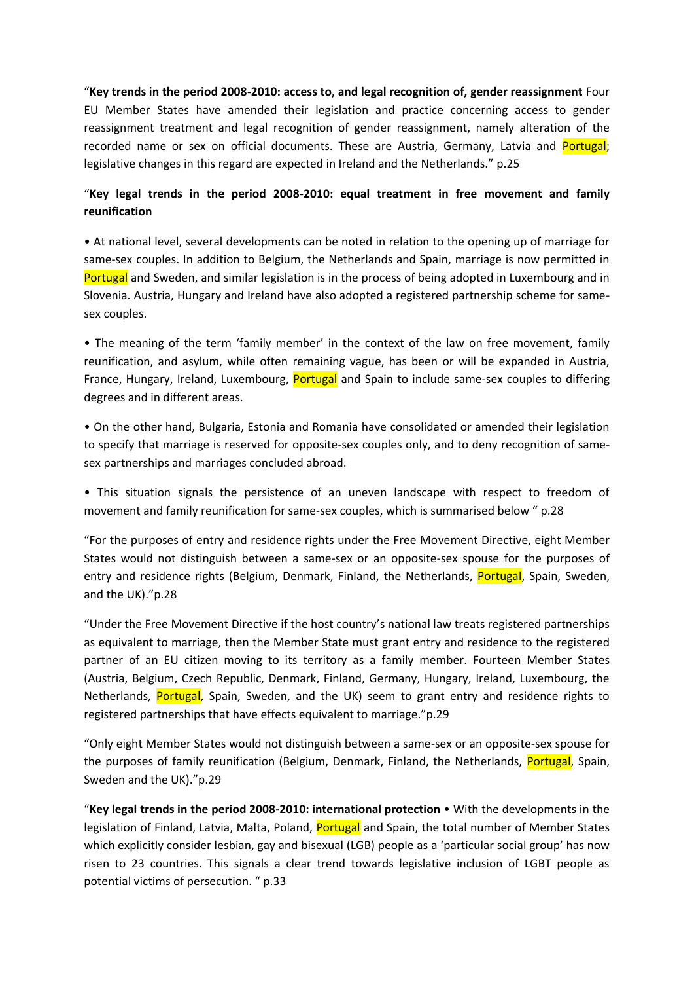"**Key trends in the period 2008-2010: access to, and legal recognition of, gender reassignment** Four EU Member States have amended their legislation and practice concerning access to gender reassignment treatment and legal recognition of gender reassignment, namely alteration of the recorded name or sex on official documents. These are Austria, Germany, Latvia and Portugal; legislative changes in this regard are expected in Ireland and the Netherlands." p.25

### "**Key legal trends in the period 2008-2010: equal treatment in free movement and family reunification**

• At national level, several developments can be noted in relation to the opening up of marriage for same-sex couples. In addition to Belgium, the Netherlands and Spain, marriage is now permitted in Portugal and Sweden, and similar legislation is in the process of being adopted in Luxembourg and in Slovenia. Austria, Hungary and Ireland have also adopted a registered partnership scheme for samesex couples.

• The meaning of the term 'family member' in the context of the law on free movement, family reunification, and asylum, while often remaining vague, has been or will be expanded in Austria, France, Hungary, Ireland, Luxembourg, Portugal and Spain to include same-sex couples to differing degrees and in different areas.

• On the other hand, Bulgaria, Estonia and Romania have consolidated or amended their legislation to specify that marriage is reserved for opposite-sex couples only, and to deny recognition of samesex partnerships and marriages concluded abroad.

• This situation signals the persistence of an uneven landscape with respect to freedom of movement and family reunification for same-sex couples, which is summarised below " p.28

"For the purposes of entry and residence rights under the Free Movement Directive, eight Member States would not distinguish between a same-sex or an opposite-sex spouse for the purposes of entry and residence rights (Belgium, Denmark, Finland, the Netherlands, Portugal, Spain, Sweden, and the UK)."p.28

"Under the Free Movement Directive if the host country's national law treats registered partnerships as equivalent to marriage, then the Member State must grant entry and residence to the registered partner of an EU citizen moving to its territory as a family member. Fourteen Member States (Austria, Belgium, Czech Republic, Denmark, Finland, Germany, Hungary, Ireland, Luxembourg, the Netherlands, Portugal, Spain, Sweden, and the UK) seem to grant entry and residence rights to registered partnerships that have effects equivalent to marriage."p.29

"Only eight Member States would not distinguish between a same-sex or an opposite-sex spouse for the purposes of family reunification (Belgium, Denmark, Finland, the Netherlands, Portugal, Spain, Sweden and the UK)."p.29

"**Key legal trends in the period 2008-2010: international protection** • With the developments in the legislation of Finland, Latvia, Malta, Poland, Portugal and Spain, the total number of Member States which explicitly consider lesbian, gay and bisexual (LGB) people as a 'particular social group' has now risen to 23 countries. This signals a clear trend towards legislative inclusion of LGBT people as potential victims of persecution. " p.33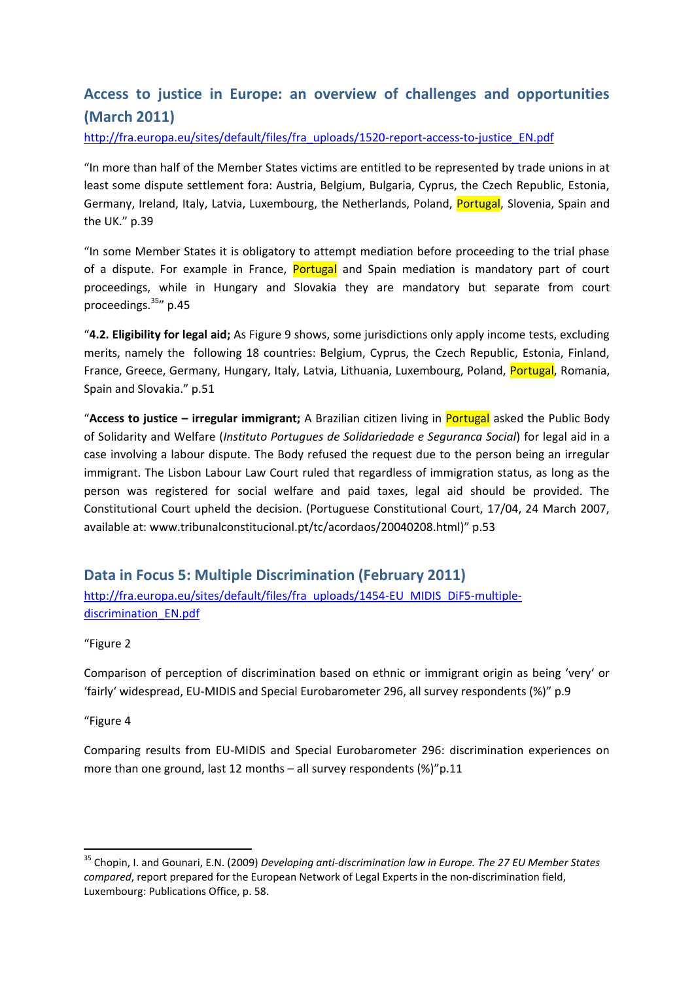# **Access to justice in Europe: an overview of challenges and opportunities (March 2011)**

[http://fra.europa.eu/sites/default/files/fra\\_uploads/1520-report-access-to-justice\\_EN.pdf](http://fra.europa.eu/sites/default/files/fra_uploads/1520-report-access-to-justice_EN.pdf)

"In more than half of the Member States victims are entitled to be represented by trade unions in at least some dispute settlement fora: Austria, Belgium, Bulgaria, Cyprus, the Czech Republic, Estonia, Germany, Ireland, Italy, Latvia, Luxembourg, the Netherlands, Poland, Portugal, Slovenia, Spain and the UK." p.39

"In some Member States it is obligatory to attempt mediation before proceeding to the trial phase of a dispute. For example in France, **Portugal** and Spain mediation is mandatory part of court proceedings, while in Hungary and Slovakia they are mandatory but separate from court proceedings.<sup>35</sup>" p.45

"**4.2. Eligibility for legal aid;** As Figure 9 shows, some jurisdictions only apply income tests, excluding merits, namely the following 18 countries: Belgium, Cyprus, the Czech Republic, Estonia, Finland, France, Greece, Germany, Hungary, Italy, Latvia, Lithuania, Luxembourg, Poland, Portugal, Romania, Spain and Slovakia." p.51

"**Access to justice – irregular immigrant;** A Brazilian citizen living in Portugal asked the Public Body of Solidarity and Welfare (*Instituto Portugues de Solidariedade e Seguranca Social*) for legal aid in a case involving a labour dispute. The Body refused the request due to the person being an irregular immigrant. The Lisbon Labour Law Court ruled that regardless of immigration status, as long as the person was registered for social welfare and paid taxes, legal aid should be provided. The Constitutional Court upheld the decision. (Portuguese Constitutional Court, 17/04, 24 March 2007, available at: www.tribunalconstitucional.pt/tc/acordaos/20040208.html)" p.53

**Data in Focus 5: Multiple Discrimination (February 2011)** [http://fra.europa.eu/sites/default/files/fra\\_uploads/1454-EU\\_MIDIS\\_DiF5-multiple](http://fra.europa.eu/sites/default/files/fra_uploads/1454-EU_MIDIS_DiF5-multiple-discrimination_EN.pdf)[discrimination\\_EN.pdf](http://fra.europa.eu/sites/default/files/fra_uploads/1454-EU_MIDIS_DiF5-multiple-discrimination_EN.pdf)

"Figure 2

Comparison of perception of discrimination based on ethnic or immigrant origin as being 'very' or 'fairly' widespread, EU-MIDIS and Special Eurobarometer 296, all survey respondents (%)" p.9

"Figure 4

.

Comparing results from EU-MIDIS and Special Eurobarometer 296: discrimination experiences on more than one ground, last 12 months – all survey respondents (%)"p.11

<sup>35</sup> Chopin, I. and Gounari, E.N. (2009) *Developing anti-discrimination law in Europe. The 27 EU Member States compared*, report prepared for the European Network of Legal Experts in the non-discrimination field, Luxembourg: Publications Office, p. 58.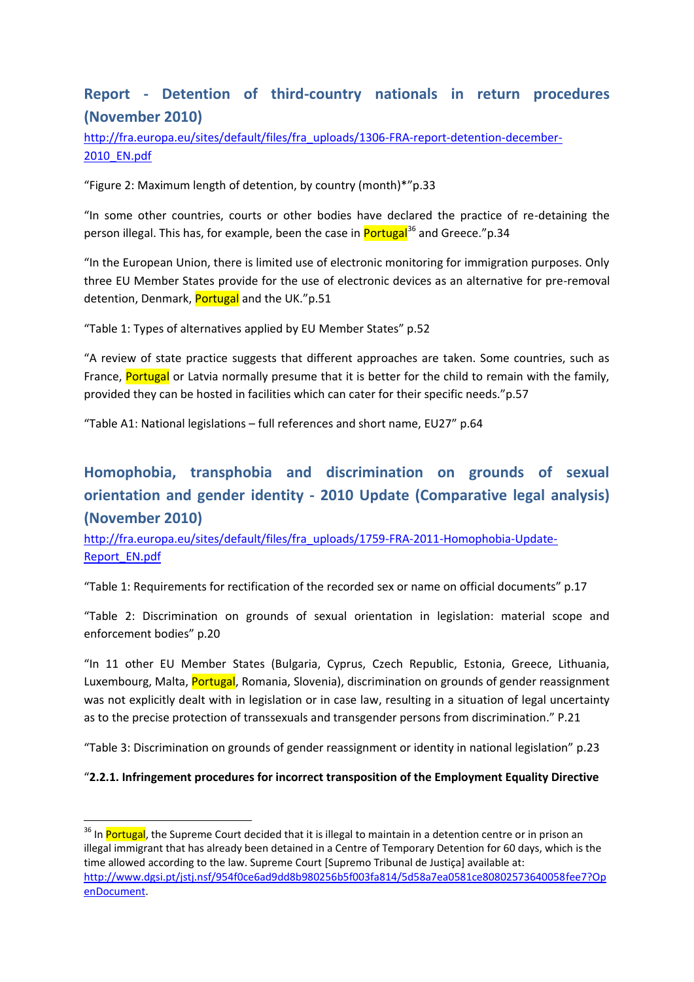# **Report - Detention of third-country nationals in return procedures (November 2010)**

[http://fra.europa.eu/sites/default/files/fra\\_uploads/1306-FRA-report-detention-december-](http://fra.europa.eu/sites/default/files/fra_uploads/1306-FRA-report-detention-december-2010_EN.pdf)[2010\\_EN.pdf](http://fra.europa.eu/sites/default/files/fra_uploads/1306-FRA-report-detention-december-2010_EN.pdf)

"Figure 2: Maximum length of detention, by country (month)\*"p.33

"In some other countries, courts or other bodies have declared the practice of re-detaining the person illegal. This has, for example, been the case in **Portugal**<sup>36</sup> and Greece."p.34

"In the European Union, there is limited use of electronic monitoring for immigration purposes. Only three EU Member States provide for the use of electronic devices as an alternative for pre-removal detention, Denmark, Portugal and the UK."p.51

"Table 1: Types of alternatives applied by EU Member States" p.52

"A review of state practice suggests that different approaches are taken. Some countries, such as France, Portugal or Latvia normally presume that it is better for the child to remain with the family, provided they can be hosted in facilities which can cater for their specific needs."p.57

"Table A1: National legislations – full references and short name, EU27" p.64

# **Homophobia, transphobia and discrimination on grounds of sexual orientation and gender identity - 2010 Update (Comparative legal analysis) (November 2010)**

[http://fra.europa.eu/sites/default/files/fra\\_uploads/1759-FRA-2011-Homophobia-Update-](http://fra.europa.eu/sites/default/files/fra_uploads/1759-FRA-2011-Homophobia-Update-Report_EN.pdf)[Report\\_EN.pdf](http://fra.europa.eu/sites/default/files/fra_uploads/1759-FRA-2011-Homophobia-Update-Report_EN.pdf)

"Table 1: Requirements for rectification of the recorded sex or name on official documents" p.17

"Table 2: Discrimination on grounds of sexual orientation in legislation: material scope and enforcement bodies" p.20

"In 11 other EU Member States (Bulgaria, Cyprus, Czech Republic, Estonia, Greece, Lithuania, Luxembourg, Malta, Portugal, Romania, Slovenia), discrimination on grounds of gender reassignment was not explicitly dealt with in legislation or in case law, resulting in a situation of legal uncertainty as to the precise protection of transsexuals and transgender persons from discrimination." P.21

"Table 3: Discrimination on grounds of gender reassignment or identity in national legislation" p.23

#### "**2.2.1. Infringement procedures for incorrect transposition of the Employment Equality Directive**

<sup>&</sup>lt;sup>36</sup> In Portugal, the Supreme Court decided that it is illegal to maintain in a detention centre or in prison an illegal immigrant that has already been detained in a Centre of Temporary Detention for 60 days, which is the time allowed according to the law. Supreme Court [Supremo Tribunal de Justiça] available at: [http://www.dgsi.pt/jstj.nsf/954f0ce6ad9dd8b980256b5f003fa814/5d58a7ea0581ce80802573640058fee7?Op](http://www.dgsi.pt/jstj.nsf/954f0ce6ad9dd8b980256b5f003fa814/5d58a7ea0581ce80802573640058fee7?OpenDocument) [enDocument.](http://www.dgsi.pt/jstj.nsf/954f0ce6ad9dd8b980256b5f003fa814/5d58a7ea0581ce80802573640058fee7?OpenDocument)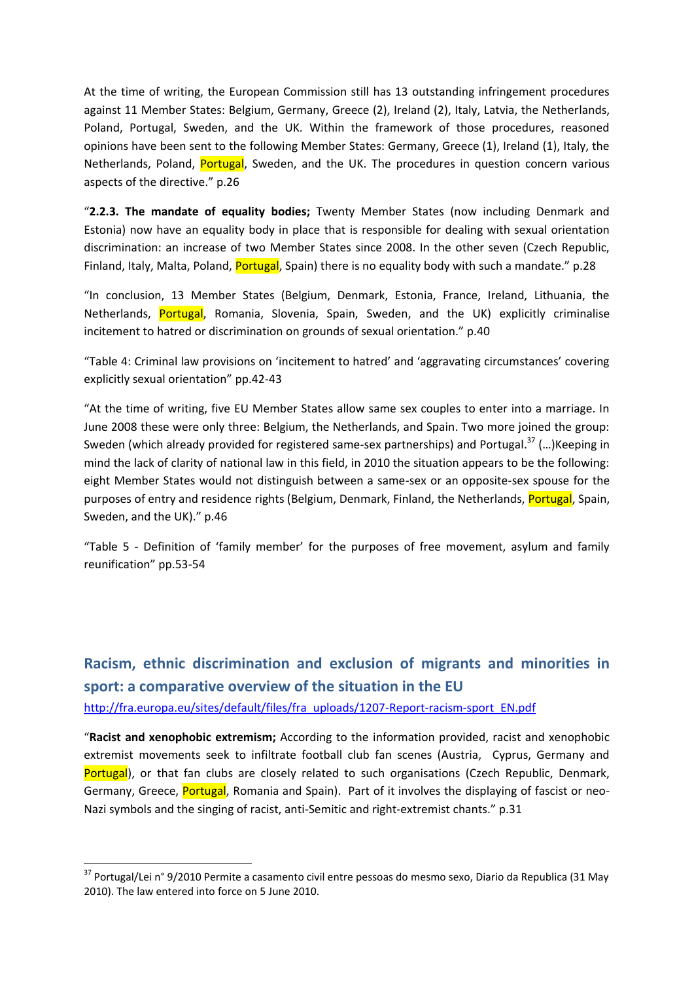At the time of writing, the European Commission still has 13 outstanding infringement procedures against 11 Member States: Belgium, Germany, Greece (2), Ireland (2), Italy, Latvia, the Netherlands, Poland, Portugal, Sweden, and the UK. Within the framework of those procedures, reasoned opinions have been sent to the following Member States: Germany, Greece (1), Ireland (1), Italy, the Netherlands, Poland, Portugal, Sweden, and the UK. The procedures in question concern various aspects of the directive." p.26

"**2.2.3. The mandate of equality bodies;** Twenty Member States (now including Denmark and Estonia) now have an equality body in place that is responsible for dealing with sexual orientation discrimination: an increase of two Member States since 2008. In the other seven (Czech Republic, Finland, Italy, Malta, Poland, Portugal, Spain) there is no equality body with such a mandate." p.28

"In conclusion, 13 Member States (Belgium, Denmark, Estonia, France, Ireland, Lithuania, the Netherlands, Portugal, Romania, Slovenia, Spain, Sweden, and the UK) explicitly criminalise incitement to hatred or discrimination on grounds of sexual orientation." p.40

"Table 4: Criminal law provisions on 'incitement to hatred' and 'aggravating circumstances' covering explicitly sexual orientation" pp.42-43

"At the time of writing, five EU Member States allow same sex couples to enter into a marriage. In June 2008 these were only three: Belgium, the Netherlands, and Spain. Two more joined the group: Sweden (which already provided for registered same-sex partnerships) and Portugal.<sup>37</sup> (...) Keeping in mind the lack of clarity of national law in this field, in 2010 the situation appears to be the following: eight Member States would not distinguish between a same-sex or an opposite-sex spouse for the purposes of entry and residence rights (Belgium, Denmark, Finland, the Netherlands, Portugal, Spain, Sweden, and the UK)." p.46

"Table 5 - Definition of 'family member' for the purposes of free movement, asylum and family reunification" pp.53-54

**Racism, ethnic discrimination and exclusion of migrants and minorities in sport: a comparative overview of the situation in the EU** [http://fra.europa.eu/sites/default/files/fra\\_uploads/1207-Report-racism-sport\\_EN.pdf](http://fra.europa.eu/sites/default/files/fra_uploads/1207-Report-racism-sport_EN.pdf)

"**Racist and xenophobic extremism;** According to the information provided, racist and xenophobic extremist movements seek to infiltrate football club fan scenes (Austria, Cyprus, Germany and Portugal), or that fan clubs are closely related to such organisations (Czech Republic, Denmark, Germany, Greece, Portugal, Romania and Spain). Part of it involves the displaying of fascist or neo-Nazi symbols and the singing of racist, anti-Semitic and right-extremist chants." p.31

<sup>37</sup> Portugal/Lei n° 9/2010 Permite a casamento civil entre pessoas do mesmo sexo, Diario da Republica (31 May 2010). The law entered into force on 5 June 2010.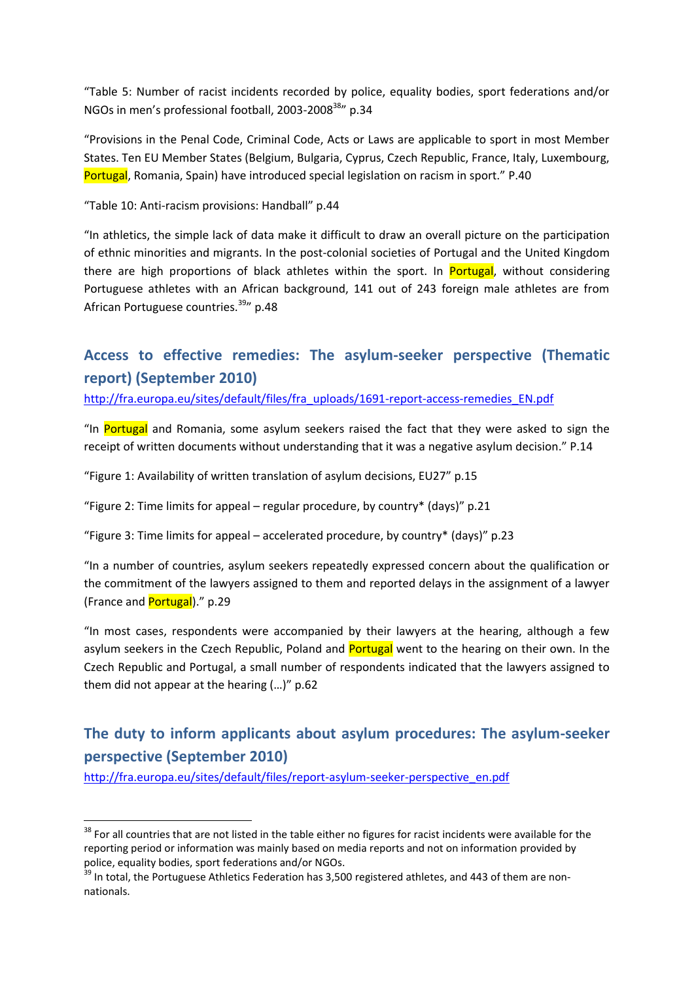"Table 5: Number of racist incidents recorded by police, equality bodies, sport federations and/or NGOs in men's professional football, 2003-2008<sup>38</sup>" p.34

"Provisions in the Penal Code, Criminal Code, Acts or Laws are applicable to sport in most Member States. Ten EU Member States (Belgium, Bulgaria, Cyprus, Czech Republic, France, Italy, Luxembourg, Portugal, Romania, Spain) have introduced special legislation on racism in sport." P.40

"Table 10: Anti-racism provisions: Handball" p.44

"In athletics, the simple lack of data make it difficult to draw an overall picture on the participation of ethnic minorities and migrants. In the post-colonial societies of Portugal and the United Kingdom there are high proportions of black athletes within the sport. In **Portugal**, without considering Portuguese athletes with an African background, 141 out of 243 foreign male athletes are from African Portuguese countries.<sup>39</sup> p.48

# **Access to effective remedies: The asylum-seeker perspective (Thematic report) (September 2010)**

[http://fra.europa.eu/sites/default/files/fra\\_uploads/1691-report-access-remedies\\_EN.pdf](http://fra.europa.eu/sites/default/files/fra_uploads/1691-report-access-remedies_EN.pdf)

"In Portugal and Romania, some asylum seekers raised the fact that they were asked to sign the receipt of written documents without understanding that it was a negative asylum decision." P.14

"Figure 1: Availability of written translation of asylum decisions, EU27" p.15

"Figure 2: Time limits for appeal – regular procedure, by country\* (days)" p.21

"Figure 3: Time limits for appeal – accelerated procedure, by country\* (days)" p.23

"In a number of countries, asylum seekers repeatedly expressed concern about the qualification or the commitment of the lawyers assigned to them and reported delays in the assignment of a lawyer (France and **Portugal**)." p.29

"In most cases, respondents were accompanied by their lawyers at the hearing, although a few asylum seekers in the Czech Republic, Poland and **Portugal** went to the hearing on their own. In the Czech Republic and Portugal, a small number of respondents indicated that the lawyers assigned to them did not appear at the hearing (…)" p.62

# **The duty to inform applicants about asylum procedures: The asylum-seeker perspective (September 2010)**

[http://fra.europa.eu/sites/default/files/report-asylum-seeker-perspective\\_en.pdf](http://fra.europa.eu/sites/default/files/report-asylum-seeker-perspective_en.pdf)

<sup>&</sup>lt;sup>38</sup> For all countries that are not listed in the table either no figures for racist incidents were available for the reporting period or information was mainly based on media reports and not on information provided by police, equality bodies, sport federations and/or NGOs.

<sup>&</sup>lt;sup>39</sup> In total, the Portuguese Athletics Federation has 3,500 registered athletes, and 443 of them are nonnationals.